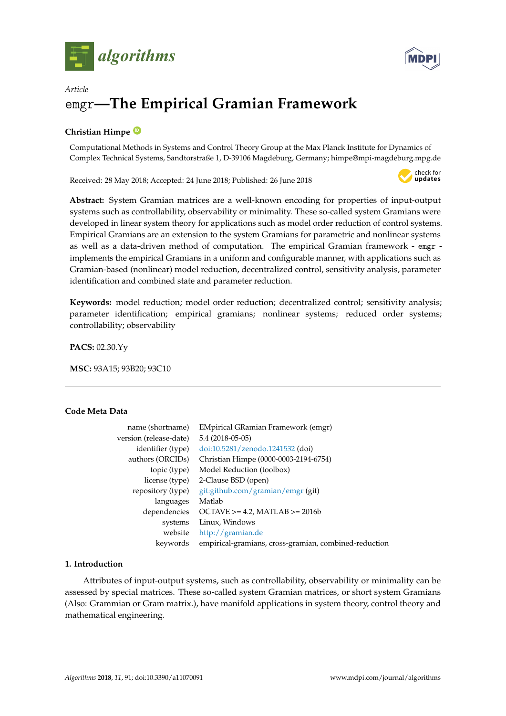



# *Article* emgr**—The Empirical Gramian Framework**

# **Christian Himpe [ID](https://orcid.org/0000-0003-2194-6754)**

Computational Methods in Systems and Control Theory Group at the Max Planck Institute for Dynamics of Complex Technical Systems, Sandtorstraße 1, D-39106 Magdeburg, Germany; himpe@mpi-magdeburg.mpg.de

Received: 28 May 2018; Accepted: 24 June 2018; Published: 26 June 2018



**Abstract:** System Gramian matrices are a well-known encoding for properties of input-output systems such as controllability, observability or minimality. These so-called system Gramians were developed in linear system theory for applications such as model order reduction of control systems. Empirical Gramians are an extension to the system Gramians for parametric and nonlinear systems as well as a data-driven method of computation. The empirical Gramian framework - emgr implements the empirical Gramians in a uniform and configurable manner, with applications such as Gramian-based (nonlinear) model reduction, decentralized control, sensitivity analysis, parameter identification and combined state and parameter reduction.

**Keywords:** model reduction; model order reduction; decentralized control; sensitivity analysis; parameter identification; empirical gramians; nonlinear systems; reduced order systems; controllability; observability

**PACS:** 02.30.Yy

**MSC:** 93A15; 93B20; 93C10

# **Code Meta Data**

| name (shortname)       | <b>EMpirical GRamian Framework (emgr)</b>             |
|------------------------|-------------------------------------------------------|
| version (release-date) | 5.4 (2018-05-05)                                      |
| identifier (type)      | doi:10.5281/zenodo.1241532 (doi)                      |
| authors (ORCIDs)       | Christian Himpe (0000-0003-2194-6754)                 |
| topic (type)           | Model Reduction (toolbox)                             |
| license (type)         | 2-Clause BSD (open)                                   |
| repository (type)      | git:github.com/gramian/emgr (git)                     |
| languages              | Matlab                                                |
| dependencies           | $OCTAVE > = 4.2$ , $MATLAB > = 2016b$                 |
| systems                | Linux, Windows                                        |
| website                | http://gramian.de                                     |
| keywords               | empirical-gramians, cross-gramian, combined-reduction |

# **1. Introduction**

Attributes of input-output systems, such as controllability, observability or minimality can be assessed by special matrices. These so-called system Gramian matrices, or short system Gramians (Also: Grammian or Gram matrix.), have manifold applications in system theory, control theory and mathematical engineering.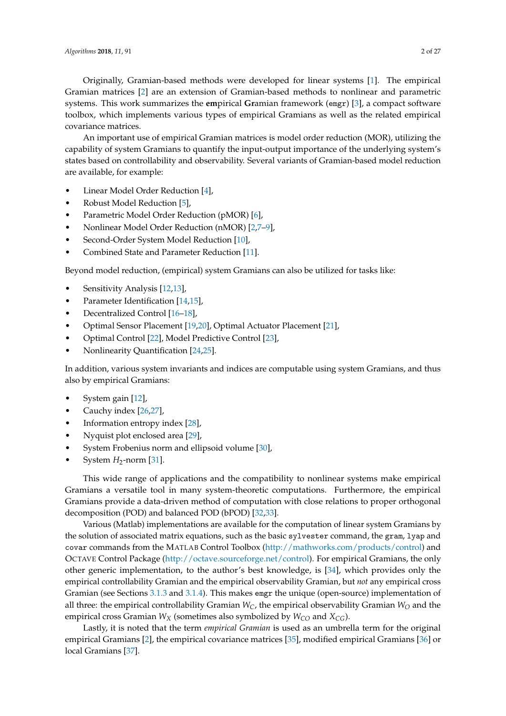Originally, Gramian-based methods were developed for linear systems [\[1\]](#page-22-0). The empirical Gramian matrices [\[2\]](#page-22-1) are an extension of Gramian-based methods to nonlinear and parametric systems. This work summarizes the **em**pirical **Gr**amian framework (emgr) [\[3\]](#page-22-2), a compact software toolbox, which implements various types of empirical Gramians as well as the related empirical covariance matrices.

An important use of empirical Gramian matrices is model order reduction (MOR), utilizing the capability of system Gramians to quantify the input-output importance of the underlying system's states based on controllability and observability. Several variants of Gramian-based model reduction are available, for example:

- Linear Model Order Reduction [\[4\]](#page-22-3),
- Robust Model Reduction [\[5\]](#page-22-4),
- Parametric Model Order Reduction (pMOR) [\[6\]](#page-22-5),
- Nonlinear Model Order Reduction (nMOR) [\[2](#page-22-1)[,7–](#page-22-6)[9\]](#page-23-0),
- Second-Order System Model Reduction [\[10\]](#page-23-1),
- Combined State and Parameter Reduction [\[11\]](#page-23-2).

Beyond model reduction, (empirical) system Gramians can also be utilized for tasks like:

- Sensitivity Analysis [\[12,](#page-23-3)[13\]](#page-23-4),
- Parameter Identification [\[14](#page-23-5)[,15\]](#page-23-6),
- Decentralized Control [\[16](#page-23-7)[–18\]](#page-23-8),
- Optimal Sensor Placement [\[19,](#page-23-9)[20\]](#page-23-10), Optimal Actuator Placement [\[21\]](#page-23-11),
- Optimal Control [\[22\]](#page-23-12), Model Predictive Control [\[23\]](#page-23-13),
- Nonlinearity Quantification [\[24](#page-23-14)[,25\]](#page-23-15).

In addition, various system invariants and indices are computable using system Gramians, and thus also by empirical Gramians:

- System gain [\[12\]](#page-23-3),
- Cauchy index [\[26](#page-23-16)[,27\]](#page-23-17),
- Information entropy index [\[28\]](#page-23-18),
- Nyquist plot enclosed area [\[29\]](#page-23-19),
- System Frobenius norm and ellipsoid volume [\[30\]](#page-23-20),
- System  $H_2$ -norm [\[31\]](#page-24-0).

This wide range of applications and the compatibility to nonlinear systems make empirical Gramians a versatile tool in many system-theoretic computations. Furthermore, the empirical Gramians provide a data-driven method of computation with close relations to proper orthogonal decomposition (POD) and balanced POD (bPOD) [\[32](#page-24-1)[,33\]](#page-24-2).

Various (Matlab) implementations are available for the computation of linear system Gramians by the solution of associated matrix equations, such as the basic sylvester command, the gram, lyap and covar commands from the MATLAB Control Toolbox [\(http://mathworks.com/products/control\)](http://mathworks.com/products/control) and OCTAVE Control Package [\(http://octave.sourceforge.net/control\)](http://octave.sourceforge.net/control). For empirical Gramians, the only other generic implementation, to the author's best knowledge, is [\[34\]](#page-24-3), which provides only the empirical controllability Gramian and the empirical observability Gramian, but *not* any empirical cross Gramian (see Sections [3.1.3](#page-7-0) and [3.1.4\)](#page-7-1). This makes emgr the unique (open-source) implementation of all three: the empirical controllability Gramian  $W_C$ , the empirical observability Gramian  $W_O$  and the empirical cross Gramian  $W_X$  (sometimes also symbolized by  $W_{CO}$  and  $X_{CG}$ ).

Lastly, it is noted that the term *empirical Gramian* is used as an umbrella term for the original empirical Gramians [\[2\]](#page-22-1), the empirical covariance matrices [\[35\]](#page-24-4), modified empirical Gramians [\[36\]](#page-24-5) or local Gramians [\[37\]](#page-24-6).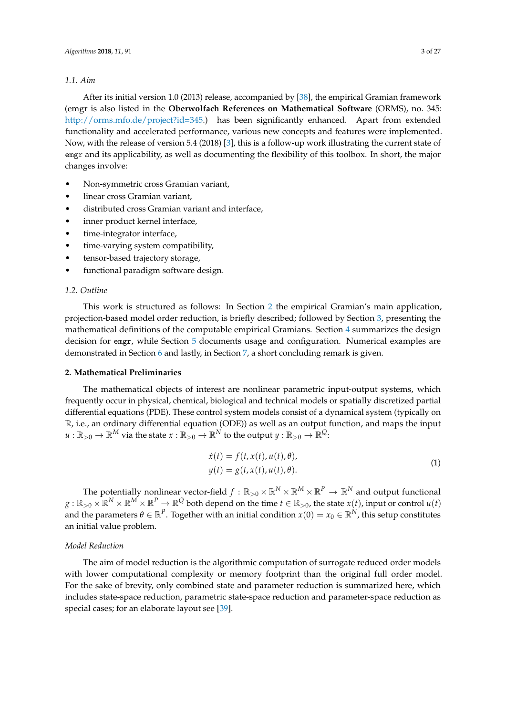#### *1.1. Aim*

After its initial version 1.0 (2013) release, accompanied by [\[38\]](#page-24-7), the empirical Gramian framework (emgr is also listed in the **Oberwolfach References on Mathematical Software** (ORMS), no. 345: [http://orms.mfo.de/project?id=345.](http://orms.mfo.de/project?id=345)) has been significantly enhanced. Apart from extended functionality and accelerated performance, various new concepts and features were implemented. Now, with the release of version 5.4 (2018) [\[3\]](#page-22-2), this is a follow-up work illustrating the current state of emgr and its applicability, as well as documenting the flexibility of this toolbox. In short, the major changes involve:

- Non-symmetric cross Gramian variant,
- linear cross Gramian variant,
- distributed cross Gramian variant and interface,
- inner product kernel interface,
- time-integrator interface,
- time-varying system compatibility,
- tensor-based trajectory storage,
- functional paradigm software design.

#### *1.2. Outline*

This work is structured as follows: In Section [2](#page-2-0) the empirical Gramian's main application, projection-based model order reduction, is briefly described; followed by Section [3,](#page-4-0) presenting the mathematical definitions of the computable empirical Gramians. Section [4](#page-11-0) summarizes the design decision for emgr, while Section [5](#page-12-0) documents usage and configuration. Numerical examples are demonstrated in Section [6](#page-18-0) and lastly, in Section [7,](#page-21-0) a short concluding remark is given.

# <span id="page-2-0"></span>**2. Mathematical Preliminaries**

The mathematical objects of interest are nonlinear parametric input-output systems, which frequently occur in physical, chemical, biological and technical models or spatially discretized partial differential equations (PDE). These control system models consist of a dynamical system (typically on R, i.e., an ordinary differential equation (ODE)) as well as an output function, and maps the input  $u:\mathbb{R}_{>0}\to\mathbb{R}^M$  via the state  $x:\mathbb{R}_{>0}\to\mathbb{R}^N$  to the output  $y:\mathbb{R}_{>0}\to\mathbb{R}^Q$ :

<span id="page-2-1"></span>
$$
\begin{aligned} \dot{x}(t) &= f(t, x(t), u(t), \theta), \\ y(t) &= g(t, x(t), u(t), \theta). \end{aligned} \tag{1}
$$

The potentially nonlinear vector-field  $f:\R_{>0}\times\R^N\times\R^M\times\R^P\to\R^N$  and output functional  $g:\R_{>0}\times \R^N\times \R^M\times \R^P\to \R^Q$  both depend on the time  $t\in\R_{>0}$ , the state  $x(t)$ , input or control  $u(t)$ and the parameters  $\theta \in \mathbb{R}^P$ . Together with an initial condition  $x(0)=x_0 \in \mathbb{R}^N$ , this setup constitutes an initial value problem.

# *Model Reduction*

The aim of model reduction is the algorithmic computation of surrogate reduced order models with lower computational complexity or memory footprint than the original full order model. For the sake of brevity, only combined state and parameter reduction is summarized here, which includes state-space reduction, parametric state-space reduction and parameter-space reduction as special cases; for an elaborate layout see [\[39\]](#page-24-8).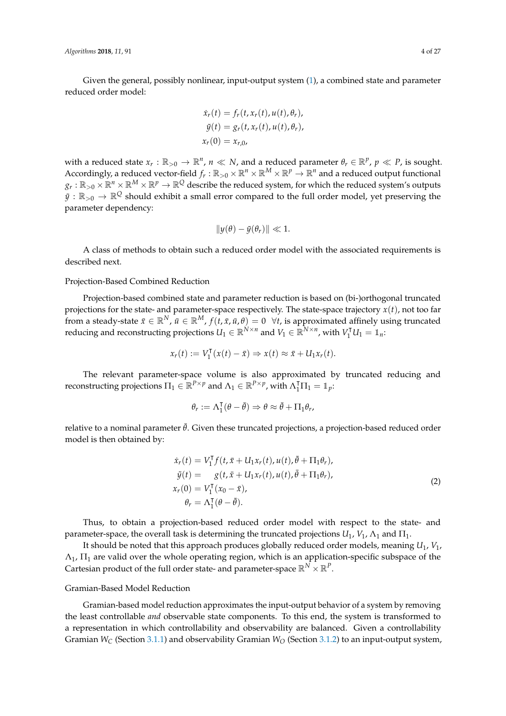Given the general, possibly nonlinear, input-output system [\(1\)](#page-2-1), a combined state and parameter reduced order model:

$$
\begin{aligned} \dot{x}_r(t) &= f_r(t, x_r(t), u(t), \theta_r), \\ \tilde{y}(t) &= g_r(t, x_r(t), u(t), \theta_r), \\ x_r(0) &= x_{r,0}, \end{aligned}
$$

with a reduced state  $x_r : \mathbb{R}_{>0} \to \mathbb{R}^n$ ,  $n \ll N$ , and a reduced parameter  $\theta_r \in \mathbb{R}^p$ ,  $p \ll P$ , is sought. Accordingly, a reduced vector-field  $f_r:\R_{>0}\times\R^n\times\R^M\times\R^p\to\R^n$  and a reduced output functional  $g_r:\R_{>0}\times\R^n\times\R^M\times\R^p\to\R^Q$  describe the reduced system, for which the reduced system's outputs  $\tilde{y}:\mathbb{R}_{>0}\to\mathbb{R}^Q$  should exhibit a small error compared to the full order model, yet preserving the parameter dependency:

$$
\|y(\theta)-\tilde{y}(\theta_r)\| \ll 1.
$$

A class of methods to obtain such a reduced order model with the associated requirements is described next.

### Projection-Based Combined Reduction

Projection-based combined state and parameter reduction is based on (bi-)orthogonal truncated projections for the state- and parameter-space respectively. The state-space trajectory *x*(*t*), not too far from a steady-state  $\bar{x}\in\mathbb{R}^N$ ,  $\bar{u}\in\mathbb{R}^M$ ,  $f(t,\bar{x},\bar{u},\theta)=0~~\forall t$ , is approximated affinely using truncated reducing and reconstructing projections  $U_1 \in \mathbb{R}^{N \times n}$  and  $V_1 \in \mathbb{R}^{N \times n}$ , with  $V_1^{\mathsf{T}} U_1 = \mathbb{1}_n$ :

$$
x_r(t) := V_1^{\mathsf{T}}(x(t) - \bar{x}) \Rightarrow x(t) \approx \bar{x} + U_1 x_r(t).
$$

The relevant parameter-space volume is also approximated by truncated reducing and reconstructing projections  $\Pi_1 \in \mathbb{R}^{P \times p}$  and  $\Lambda_1 \in \mathbb{R}^{P \times p}$ , with  $\Lambda_1^{\mathsf{T}} \Pi_1 = \mathbb{1}_p$ :

<span id="page-3-0"></span>
$$
\theta_r := \Lambda_1^{\mathsf{T}}(\theta - \bar{\theta}) \Rightarrow \theta \approx \bar{\theta} + \Pi_1 \theta_r,
$$

relative to a nominal parameter  $\bar{\theta}$ . Given these truncated projections, a projection-based reduced order model is then obtained by:

$$
\begin{aligned}\n\dot{x}_r(t) &= V_1^\mathsf{T} f(t, \bar{x} + U_1 x_r(t), u(t), \bar{\theta} + \Pi_1 \theta_r), \\
\tilde{y}(t) &= g(t, \bar{x} + U_1 x_r(t), u(t), \bar{\theta} + \Pi_1 \theta_r), \\
x_r(0) &= V_1^\mathsf{T} (x_0 - \bar{x}), \\
\theta_r &= \Lambda_1^\mathsf{T} (\theta - \bar{\theta}).\n\end{aligned}\n\tag{2}
$$

Thus, to obtain a projection-based reduced order model with respect to the state- and parameter-space, the overall task is determining the truncated projections  $U_1$ ,  $V_1$ ,  $\Lambda_1$  and  $\Pi_1$ .

It should be noted that this approach produces globally reduced order models, meaning *U*1, *V*1,  $\Lambda_1$ ,  $\Pi_1$  are valid over the whole operating region, which is an application-specific subspace of the Cartesian product of the full order state- and parameter-space  $\mathbb{R}^N\times\mathbb{R}^P$ .

#### Gramian-Based Model Reduction

Gramian-based model reduction approximates the input-output behavior of a system by removing the least controllable *and* observable state components. To this end, the system is transformed to a representation in which controllability and observability are balanced. Given a controllability Gramian *W<sup>C</sup>* (Section [3.1.1\)](#page-6-0) and observability Gramian *W<sup>O</sup>* (Section [3.1.2\)](#page-6-1) to an input-output system,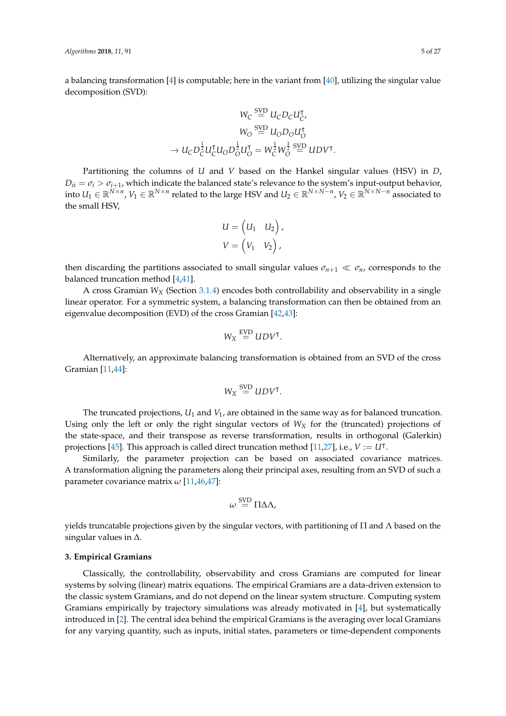a balancing transformation [\[4\]](#page-22-3) is computable; here in the variant from [\[40\]](#page-24-9), utilizing the singular value decomposition (SVD):

$$
W_C \stackrel{\text{SVD}}{=} U_C D_C U_C^{\mathsf{T}},
$$

$$
W_O \stackrel{\text{SVD}}{=} U_O D_O U_O^{\mathsf{T}}
$$

$$
\rightarrow U_C D_C^{\frac{1}{2}} U_C^{\mathsf{T}} U_O D_O^{\frac{1}{2}} U_O^{\mathsf{T}} = W_C^{\frac{1}{2}} W_O^{\frac{1}{2}} \stackrel{\text{SVD}}{=} U D V^{\mathsf{T}}.
$$

Partitioning the columns of *U* and *V* based on the Hankel singular values (HSV) in *D*,  $D_{ii} = \sigma_i > \sigma_{i+1}$ , which indicate the balanced state's relevance to the system's input-output behavior, into  $U_1\in\mathbb{R}^{N\times n}$ ,  $V_1\in\mathbb{R}^{N\times n}$  related to the large HSV and  $U_2\in\mathbb{R}^{N\times N-n}$ ,  $V_2\in\mathbb{R}^{N\times N-n}$  associated to the small HSV,

$$
U = \begin{pmatrix} U_1 & U_2 \end{pmatrix},
$$
  

$$
V = \begin{pmatrix} V_1 & V_2 \end{pmatrix},
$$

then discarding the partitions associated to small singular values  $\sigma_{n+1} \ll \sigma_n$ , corresponds to the balanced truncation method [\[4,](#page-22-3)[41\]](#page-24-10).

A cross Gramian *W<sup>X</sup>* (Section [3.1.4\)](#page-7-1) encodes both controllability and observability in a single linear operator. For a symmetric system, a balancing transformation can then be obtained from an eigenvalue decomposition (EVD) of the cross Gramian [\[42,](#page-24-11)[43\]](#page-24-12):

$$
W_X \stackrel{\text{EVD}}{=} UDV^\intercal.
$$

Alternatively, an approximate balancing transformation is obtained from an SVD of the cross Gramian [\[11](#page-23-2)[,44\]](#page-24-13):

$$
W_X \stackrel{\text{SVD}}{=} UDV^\intercal.
$$

The truncated projections, *U*<sup>1</sup> and *V*1, are obtained in the same way as for balanced truncation. Using only the left or only the right singular vectors of  $W_X$  for the (truncated) projections of the state-space, and their transpose as reverse transformation, results in orthogonal (Galerkin) projections [\[45\]](#page-24-14). This approach is called direct truncation method [\[11,](#page-23-2)[27\]](#page-23-17), i.e.,  $V := \widetilde{U}^{\intercal}$ .

Similarly, the parameter projection can be based on associated covariance matrices. A transformation aligning the parameters along their principal axes, resulting from an SVD of such a parameter covariance matrix *ω* [\[11,](#page-23-2)[46](#page-24-15)[,47\]](#page-24-16):

$$
\omega \stackrel{\text{SVD}}{=} \Pi \Delta \Lambda,
$$

yields truncatable projections given by the singular vectors, with partitioning of  $\Pi$  and  $\Lambda$  based on the singular values in ∆.

# <span id="page-4-0"></span>**3. Empirical Gramians**

Classically, the controllability, observability and cross Gramians are computed for linear systems by solving (linear) matrix equations. The empirical Gramians are a data-driven extension to the classic system Gramians, and do not depend on the linear system structure. Computing system Gramians empirically by trajectory simulations was already motivated in [\[4\]](#page-22-3), but systematically introduced in [\[2\]](#page-22-1). The central idea behind the empirical Gramians is the averaging over local Gramians for any varying quantity, such as inputs, initial states, parameters or time-dependent components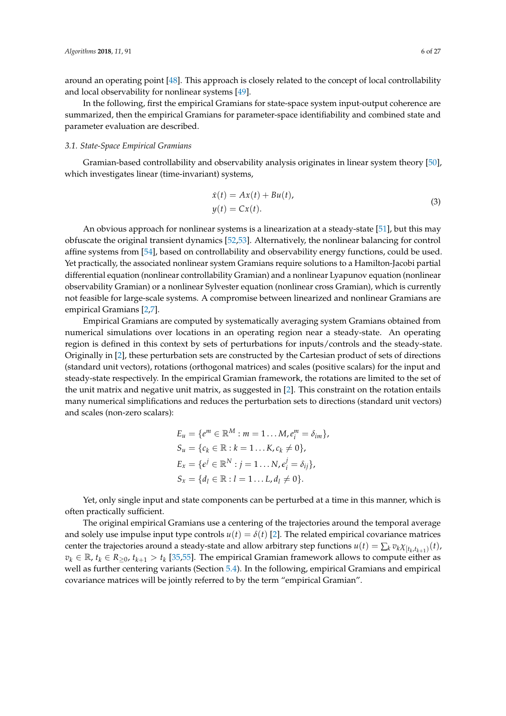around an operating point [\[48\]](#page-24-17). This approach is closely related to the concept of local controllability and local observability for nonlinear systems [\[49\]](#page-24-18).

In the following, first the empirical Gramians for state-space system input-output coherence are summarized, then the empirical Gramians for parameter-space identifiability and combined state and parameter evaluation are described.

#### *3.1. State-Space Empirical Gramians*

Gramian-based controllability and observability analysis originates in linear system theory [\[50\]](#page-24-19), which investigates linear (time-invariant) systems,

<span id="page-5-0"></span>
$$
\dot{x}(t) = Ax(t) + Bu(t),
$$
  
\n
$$
y(t) = Cx(t).
$$
\n(3)

An obvious approach for nonlinear systems is a linearization at a steady-state [\[51\]](#page-24-20), but this may obfuscate the original transient dynamics [\[52](#page-24-21)[,53\]](#page-24-22). Alternatively, the nonlinear balancing for control affine systems from [\[54\]](#page-24-23), based on controllability and observability energy functions, could be used. Yet practically, the associated nonlinear system Gramians require solutions to a Hamilton-Jacobi partial differential equation (nonlinear controllability Gramian) and a nonlinear Lyapunov equation (nonlinear observability Gramian) or a nonlinear Sylvester equation (nonlinear cross Gramian), which is currently not feasible for large-scale systems. A compromise between linearized and nonlinear Gramians are empirical Gramians [\[2,](#page-22-1)[7\]](#page-22-6).

Empirical Gramians are computed by systematically averaging system Gramians obtained from numerical simulations over locations in an operating region near a steady-state. An operating region is defined in this context by sets of perturbations for inputs/controls and the steady-state. Originally in [\[2\]](#page-22-1), these perturbation sets are constructed by the Cartesian product of sets of directions (standard unit vectors), rotations (orthogonal matrices) and scales (positive scalars) for the input and steady-state respectively. In the empirical Gramian framework, the rotations are limited to the set of the unit matrix and negative unit matrix, as suggested in [\[2\]](#page-22-1). This constraint on the rotation entails many numerical simplifications and reduces the perturbation sets to directions (standard unit vectors) and scales (non-zero scalars):

$$
E_u = \{e^m \in \mathbb{R}^M : m = 1 ... M, e_i^m = \delta_{im}\},
$$
  
\n
$$
S_u = \{c_k \in \mathbb{R} : k = 1 ... K, c_k \neq 0\},
$$
  
\n
$$
E_x = \{e^j \in \mathbb{R}^N : j = 1 ... N, e_i^j = \delta_{ij}\},
$$
  
\n
$$
S_x = \{d_l \in \mathbb{R} : l = 1 ... L, d_l \neq 0\}.
$$

Yet, only single input and state components can be perturbed at a time in this manner, which is often practically sufficient.

The original empirical Gramians use a centering of the trajectories around the temporal average and solely use impulse input type controls  $u(t) = \delta(t)$  [\[2\]](#page-22-1). The related empirical covariance matrices center the trajectories around a steady-state and allow arbitrary step functions  $u(t) = \sum_k v_k \chi_{[t_k,t_{k+1})}(t)$ ,  $v_k \in \mathbb{R}$ ,  $t_k \in R_{\geq 0}$ ,  $t_{k+1} > t_k$  [\[35,](#page-24-4)[55\]](#page-24-24). The empirical Gramian framework allows to compute either as well as further centering variants (Section [5.4\)](#page-15-0). In the following, empirical Gramians and empirical covariance matrices will be jointly referred to by the term "empirical Gramian".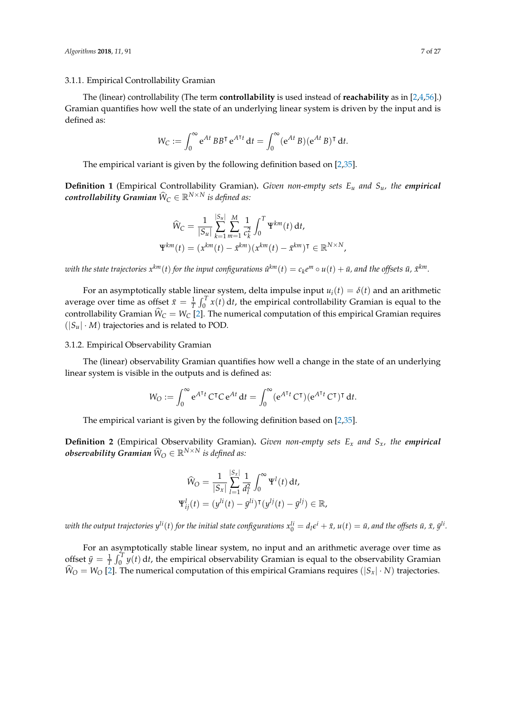# <span id="page-6-0"></span>3.1.1. Empirical Controllability Gramian

The (linear) controllability (The term **controllability** is used instead of **reachability** as in [\[2](#page-22-1)[,4](#page-22-3)[,56\]](#page-25-0).) Gramian quantifies how well the state of an underlying linear system is driven by the input and is defined as:

$$
W_C := \int_0^\infty e^{At} BB^\mathsf{T} e^{A^\mathsf{T} t} dt = \int_0^\infty (e^{At} B) (e^{At} B)^\mathsf{T} dt.
$$

The empirical variant is given by the following definition based on [\[2,](#page-22-1)[35\]](#page-24-4).

**Definition 1** (Empirical Controllability Gramian)**.** *Given non-empty sets E<sup>u</sup> and Su, the empirical*  $\boldsymbol{control}$ *lability Gramian*  $\widehat{\mathsf{W}}_\mathsf{C} \in \mathbb{R}^{N \times N}$  *is defined as:* 

$$
\widehat{W}_{C} = \frac{1}{|S_{u}|} \sum_{k=1}^{|S_{u}|} \sum_{m=1}^{M} \frac{1}{c_{k}^{2}} \int_{0}^{T} \Psi^{km}(t) dt,
$$
  

$$
\Psi^{km}(t) = (x^{km}(t) - \bar{x}^{km})(x^{km}(t) - \bar{x}^{km})^{\mathsf{T}} \in \mathbb{R}^{N \times N},
$$

with the state trajectories  $x^{km}(t)$  for the input configurations  $\hat u^{km}(t)=c_ke^m\circ u(t)+\bar u$ , and the offsets  $\bar u$ ,  $\bar x^{km}.$ 

For an asymptotically stable linear system, delta impulse input  $u_i(t) = \delta(t)$  and an arithmetic average over time as offset  $\bar{x} = \frac{1}{T} \int_0^T x(t) dt$ , the empirical controllability Gramian is equal to the controllability Gramian  $W_C = W_C$  [\[2\]](#page-22-1). The numerical computation of this empirical Gramian requires  $(|S_u| \cdot M)$  trajectories and is related to POD.

# <span id="page-6-1"></span>3.1.2. Empirical Observability Gramian

The (linear) observability Gramian quantifies how well a change in the state of an underlying linear system is visible in the outputs and is defined as:

$$
W_O := \int_0^\infty e^{A^{\mathsf{T}}t} C^{\mathsf{T}}C e^{At} dt = \int_0^\infty (e^{A^{\mathsf{T}}t} C^{\mathsf{T}}) (e^{A^{\mathsf{T}}t} C^{\mathsf{T}})^{\mathsf{T}} dt.
$$

The empirical variant is given by the following definition based on [\[2,](#page-22-1)[35\]](#page-24-4).

**Definition 2** (Empirical Observability Gramian)**.** *Given non-empty sets E<sup>x</sup> and Sx, the empirical*  $\bm{obs}$ ervability Gramian  $\widehat{\mathsf{W}}_\mathrm{O} \in \mathbb{R}^{N \times N}$  is defined as:

$$
\widehat{W}_{O} = \frac{1}{|S_{x}|} \sum_{l=1}^{|S_{x}|} \frac{1}{d_{l}^{2}} \int_{0}^{\infty} \Psi^{l}(t) dt,
$$
  

$$
\Psi_{ij}^{l}(t) = (y^{li}(t) - \bar{y}^{li})^{\mathsf{T}}(y^{lj}(t) - \bar{y}^{lj}) \in \mathbb{R},
$$

with the output trajectories  $y^{li}(t)$  for the initial state configurations  $x_0^{li}=d_l\epsilon^i+\bar{x}$ ,  $u(t)=\bar{u}$ , and the offsets  $\bar{u}$ ,  $\bar{x}$ ,  $\bar{y}^{li}$ .

For an asymptotically stable linear system, no input and an arithmetic average over time as offset  $\bar{y} = \frac{1}{T} \int_0^T y(t) dt$ , the empirical observability Gramian is equal to the observability Gramian  $\hat{W}_O = W_O$  [\[2\]](#page-22-1). The numerical computation of this empirical Gramians requires ( $|S_x| \cdot N$ ) trajectories.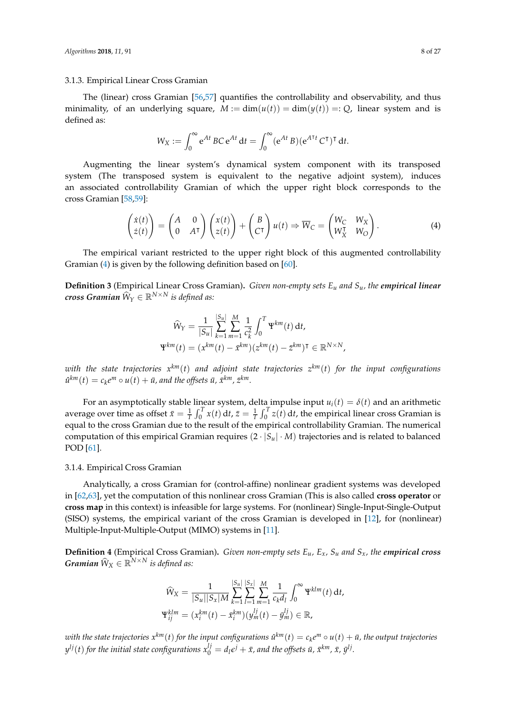# <span id="page-7-0"></span>3.1.3. Empirical Linear Cross Gramian

The (linear) cross Gramian [\[56](#page-25-0)[,57\]](#page-25-1) quantifies the controllability and observability, and thus minimality, of an underlying square,  $M := \dim(u(t)) = \dim(y(t)) =: Q$ , linear system and is defined as:

<span id="page-7-2"></span>
$$
W_X := \int_0^\infty e^{At} BC e^{At} dt = \int_0^\infty (e^{At} B) (e^{A^{\mathsf{T}}t} C^{\mathsf{T}})^{\mathsf{T}} dt.
$$

Augmenting the linear system's dynamical system component with its transposed system (The transposed system is equivalent to the negative adjoint system), induces an associated controllability Gramian of which the upper right block corresponds to the cross Gramian [\[58](#page-25-2)[,59\]](#page-25-3):

$$
\begin{pmatrix} \dot{x}(t) \\ \dot{z}(t) \end{pmatrix} = \begin{pmatrix} A & 0 \\ 0 & A^{\mathsf{T}} \end{pmatrix} \begin{pmatrix} x(t) \\ z(t) \end{pmatrix} + \begin{pmatrix} B \\ C^{\mathsf{T}} \end{pmatrix} u(t) \Rightarrow \overline{W}_C = \begin{pmatrix} W_C & W_X \\ W_X^{\mathsf{T}} & W_O \end{pmatrix}.
$$
 (4)

The empirical variant restricted to the upper right block of this augmented controllability Gramian [\(4\)](#page-7-2) is given by the following definition based on [\[60\]](#page-25-4).

**Definition 3** (Empirical Linear Cross Gramian)**.** *Given non-empty sets E<sup>u</sup> and Su, the empirical linear*  $\hat{W}_Y \in \mathbb{R}^{N \times N}$  is defined as:

$$
\widehat{W}_Y = \frac{1}{|S_u|} \sum_{k=1}^{|S_u|} \sum_{m=1}^M \frac{1}{c_k^2} \int_0^T \Psi^{km}(t) dt,
$$
  

$$
\Psi^{km}(t) = (x^{km}(t) - \bar{x}^{km})(z^{km}(t) - \bar{z}^{km})^T \in \mathbb{R}^{N \times N},
$$

*with the state trajectories x km*(*t*) *and adjoint state trajectories z km*(*t*) *for the input configurations*  $\hat{u}^{km}(t) = c_k e^m \circ u(t) + \bar{u}$ , and the offsets  $\bar{u}$ ,  $\bar{x}^{km}$ ,  $\bar{z}^{km}$ .

For an asymptotically stable linear system, delta impulse input  $u_i(t) = \delta(t)$  and an arithmetic average over time as offset  $\bar{x}=\frac{1}{T}\int_0^T x(t) dt$ ,  $\bar{z}=\frac{1}{T}\int_0^T z(t) dt$ , the empirical linear cross Gramian is equal to the cross Gramian due to the result of the empirical controllability Gramian. The numerical computation of this empirical Gramian requires  $(2 \cdot |S_u| \cdot M)$  trajectories and is related to balanced POD [\[61\]](#page-25-5).

# <span id="page-7-1"></span>3.1.4. Empirical Cross Gramian

Analytically, a cross Gramian for (control-affine) nonlinear gradient systems was developed in [\[62](#page-25-6)[,63\]](#page-25-7), yet the computation of this nonlinear cross Gramian (This is also called **cross operator** or **cross map** in this context) is infeasible for large systems. For (nonlinear) Single-Input-Single-Output (SISO) systems, the empirical variant of the cross Gramian is developed in [\[12\]](#page-23-3), for (nonlinear) Multiple-Input-Multiple-Output (MIMO) systems in [\[11\]](#page-23-2).

**Definition 4** (Empirical Cross Gramian)**.** *Given non-empty sets Eu, Ex, S<sup>u</sup> and Sx, the empirical cross Gramian*  $\widehat{W}_X \in \mathbb{R}^{N \times N}$  *is defined as:* 

$$
\widehat{W}_X = \frac{1}{|S_u||S_x|M} \sum_{k=1}^{|S_u|} \sum_{l=1}^{|S_x|} \sum_{m=1}^M \frac{1}{c_k d_l} \int_0^\infty \Psi^{klm}(t) dt,
$$
  

$$
\Psi_{ij}^{klm} = (x_i^{km}(t) - \bar{x}_i^{km})(y_m^{lj}(t) - \bar{y}_m^{lj}) \in \mathbb{R},
$$

 $w$ ith the state trajectories  $x^{km}(t)$  for the input configurations  $\hat u^{km}(t)=c_ke^m\circ u(t)+\bar u$ , the output trajectories  $y^{lj}(t)$  for the initial state configurations  $x_0^{lj}=d_l \epsilon^j+\bar{x}$ , and the offsets  $\bar{u}$ ,  $\bar{x}^{km}$ ,  $\bar{x}$ ,  $\bar{y}^{lj}$ .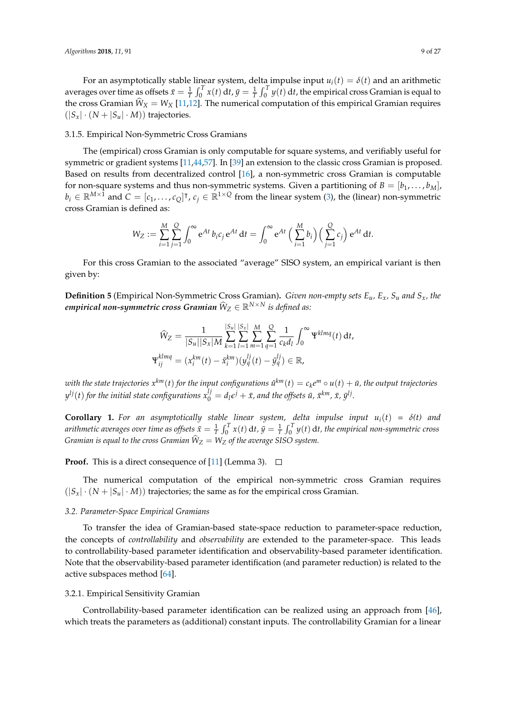For an asymptotically stable linear system, delta impulse input  $u_i(t) = \delta(t)$  and an arithmetic averages over time as offsets  $\bar{x}=\frac{1}{T}\int_0^T x(t) dt$ ,  $\bar{y}=\frac{1}{T}\int_0^T y(t) dt$ , the empirical cross Gramian is equal to the cross Gramian  $W_X = W_X$  [\[11,](#page-23-2)[12\]](#page-23-3). The numerical computation of this empirical Gramian requires  $(|S_x| \cdot (N + |S_u| \cdot M))$  trajectories.

# <span id="page-8-1"></span>3.1.5. Empirical Non-Symmetric Cross Gramians

The (empirical) cross Gramian is only computable for square systems, and verifiably useful for symmetric or gradient systems [\[11](#page-23-2)[,44,](#page-24-13)[57\]](#page-25-1). In [\[39\]](#page-24-8) an extension to the classic cross Gramian is proposed. Based on results from decentralized control [\[16\]](#page-23-7), a non-symmetric cross Gramian is computable for non-square systems and thus non-symmetric systems. Given a partitioning of  $B = [b_1, \ldots, b_M]$ ,  $b_i \in \mathbb{R}^{M \times \hat{1}}$  and  $C = [c_1, \ldots, c_Q]^\intercal$ ,  $c_j \in \mathbb{R}^{1 \times Q}$  from the linear system [\(3\)](#page-5-0), the (linear) non-symmetric cross Gramian is defined as:

$$
W_Z := \sum_{i=1}^M \sum_{j=1}^Q \int_0^{\infty} e^{At} b_i c_j e^{At} dt = \int_0^{\infty} e^{At} \left( \sum_{i=1}^M b_i \right) \left( \sum_{j=1}^Q c_j \right) e^{At} dt.
$$

For this cross Gramian to the associated "average" SISO system, an empirical variant is then given by:

**Definition 5** (Empirical Non-Symmetric Cross Gramian)**.** *Given non-empty sets Eu, Ex, S<sup>u</sup> and Sx, the*  $\ell$  empirical non-symmetric cross Gramian  $\widehat{W}_Z \in \mathbb{R}^{N \times N}$  is defined as:

$$
\widehat{W}_{Z} = \frac{1}{|S_{u}||S_{x}|M} \sum_{k=1}^{|S_{u}|} \sum_{l=1}^{|S_{u}|} \sum_{m=1}^{M} \sum_{q=1}^{Q} \frac{1}{c_{k}d_{l}} \int_{0}^{\infty} \Psi^{klmq}(t) dt,
$$
  

$$
\Psi_{ij}^{klmq} = (x_{i}^{km}(t) - \bar{x}_{i}^{km})(y_{q}^{lj}(t) - \bar{y}_{q}^{lj}) \in \mathbb{R},
$$

 $w$ ith the state trajectories  $x^{km}(t)$  for the input configurations  $\hat u^{km}(t)=c_ke^m\circ u(t)+\bar u$ , the output trajectories  $y^{lj}(t)$  for the initial state configurations  $x_0^{lj}=d_l \epsilon^j+\bar{x}$ , and the offsets  $\bar{u}$ ,  $\bar{x}^{km}$ ,  $\bar{x}$ ,  $\bar{y}^{lj}$ .

**Corollary 1.** For an asymptotically stable linear system, delta impulse input  $u_i(t) = \delta(t)$  and *arithmetic averages over time as offsets*  $\bar{x}=\frac{1}{T}\int_0^T x(t)\,dt$ ,  $\bar{y}=\frac{1}{T}\int_0^T y(t)\,dt$ , the empirical non-symmetric cross  $G$ ramian is equal to the cross  $G$ ramian  $\dot{W}_Z = W_Z$  of the average SISO system.

**Proof.** This is a direct consequence of [\[11\]](#page-23-2) (Lemma 3).  $\Box$ 

The numerical computation of the empirical non-symmetric cross Gramian requires  $(|S_x| \cdot (N + |S_u| \cdot M))$  trajectories; the same as for the empirical cross Gramian.

#### *3.2. Parameter-Space Empirical Gramians*

To transfer the idea of Gramian-based state-space reduction to parameter-space reduction, the concepts of *controllability* and *observability* are extended to the parameter-space. This leads to controllability-based parameter identification and observability-based parameter identification. Note that the observability-based parameter identification (and parameter reduction) is related to the active subspaces method [\[64\]](#page-25-8).

#### <span id="page-8-0"></span>3.2.1. Empirical Sensitivity Gramian

Controllability-based parameter identification can be realized using an approach from [\[46\]](#page-24-15), which treats the parameters as (additional) constant inputs. The controllability Gramian for a linear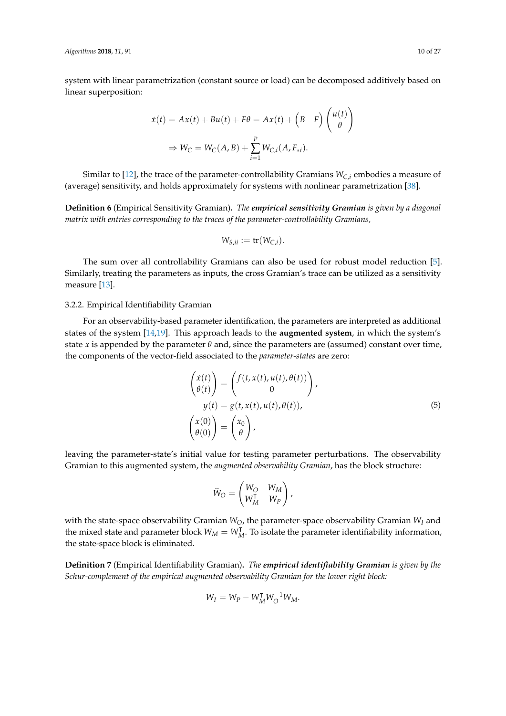system with linear parametrization (constant source or load) can be decomposed additively based on linear superposition:

$$
\dot{x}(t) = Ax(t) + Bu(t) + F\theta = Ax(t) + \left(B \quad F\right) \begin{pmatrix} u(t) \\ \theta \end{pmatrix}
$$

$$
\Rightarrow W_C = W_C(A, B) + \sum_{i=1}^{P} W_{C,i}(A, F_{*i}).
$$

Similar to [\[12\]](#page-23-3), the trace of the parameter-controllability Gramians  $W_{C,i}$  embodies a measure of (average) sensitivity, and holds approximately for systems with nonlinear parametrization [\[38\]](#page-24-7).

**Definition 6** (Empirical Sensitivity Gramian)**.** *The empirical sensitivity Gramian is given by a diagonal matrix with entries corresponding to the traces of the parameter-controllability Gramians,*

$$
W_{S,ii} := \mathop{\mathsf{tr}}\nolimits(W_{C,i}).
$$

The sum over all controllability Gramians can also be used for robust model reduction [\[5\]](#page-22-4). Similarly, treating the parameters as inputs, the cross Gramian's trace can be utilized as a sensitivity measure [\[13\]](#page-23-4).

# <span id="page-9-1"></span>3.2.2. Empirical Identifiability Gramian

For an observability-based parameter identification, the parameters are interpreted as additional states of the system [\[14](#page-23-5)[,19\]](#page-23-9). This approach leads to the **augmented system**, in which the system's state *x* is appended by the parameter  $\theta$  and, since the parameters are (assumed) constant over time, the components of the vector-field associated to the *parameter-states* are zero:

$$
\begin{aligned}\n\begin{pmatrix}\n\dot{x}(t) \\
\dot{\theta}(t)\n\end{pmatrix} &= \begin{pmatrix}\nf(t, x(t), u(t), \theta(t)) \\
0\n\end{pmatrix}, \\
y(t) &= g(t, x(t), u(t), \theta(t)), \\
\begin{pmatrix}\nx(0) \\
\theta(0)\n\end{pmatrix} &= \begin{pmatrix}\nx_0 \\
\theta\n\end{pmatrix},\n\end{aligned} (5)
$$

leaving the parameter-state's initial value for testing parameter perturbations. The observability Gramian to this augmented system, the *augmented observability Gramian*, has the block structure:

<span id="page-9-0"></span>
$$
\widehat{W}_O = \begin{pmatrix} W_O & W_M \\ W_M^{\mathsf{T}} & W_P \end{pmatrix},
$$

with the state-space observability Gramian *WO*, the parameter-space observability Gramian *W<sup>I</sup>* and the mixed state and parameter block  $W_M = W_M^T$ . To isolate the parameter identifiability information, the state-space block is eliminated.

**Definition 7** (Empirical Identifiability Gramian)**.** *The empirical identifiability Gramian is given by the Schur-complement of the empirical augmented observability Gramian for the lower right block:*

$$
W_I = W_P - W_M^{\mathsf{T}} W_O^{-1} W_M.
$$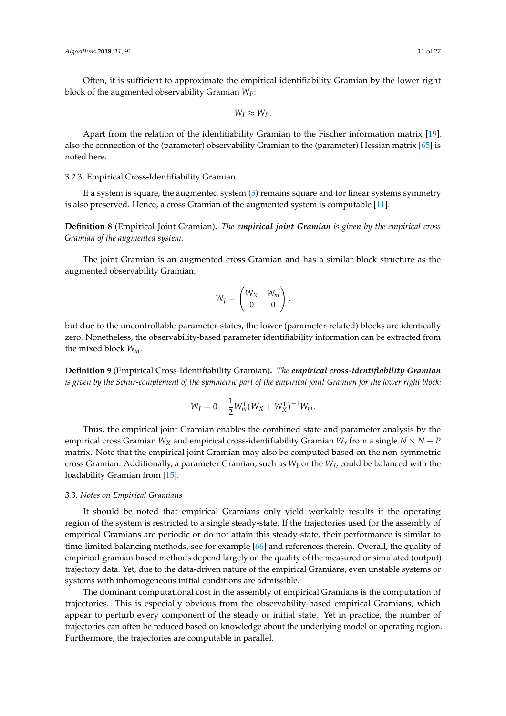Often, it is sufficient to approximate the empirical identifiability Gramian by the lower right block of the augmented observability Gramian *WP*:

$$
W_I \approx W_P.
$$

Apart from the relation of the identifiability Gramian to the Fischer information matrix [\[19\]](#page-23-9), also the connection of the (parameter) observability Gramian to the (parameter) Hessian matrix [\[65\]](#page-25-9) is noted here.

# <span id="page-10-0"></span>3.2.3. Empirical Cross-Identifiability Gramian

If a system is square, the augmented system [\(5\)](#page-9-0) remains square and for linear systems symmetry is also preserved. Hence, a cross Gramian of the augmented system is computable [\[11\]](#page-23-2).

**Definition 8** (Empirical Joint Gramian)**.** *The empirical joint Gramian is given by the empirical cross Gramian of the augmented system.*

The joint Gramian is an augmented cross Gramian and has a similar block structure as the augmented observability Gramian,

$$
W_J = \begin{pmatrix} W_X & W_m \\ 0 & 0 \end{pmatrix},
$$

but due to the uncontrollable parameter-states, the lower (parameter-related) blocks are identically zero. Nonetheless, the observability-based parameter identifiability information can be extracted from the mixed block *Wm*.

**Definition 9** (Empirical Cross-Identifiability Gramian)**.** *The empirical cross-identifiability Gramian is given by the Schur-complement of the symmetric part of the empirical joint Gramian for the lower right block:*

$$
W_{\ddot{I}} = 0 - \frac{1}{2} W_{m}^{\mathsf{T}} (W_{X} + W_{X}^{\mathsf{T}})^{-1} W_{m}.
$$

Thus, the empirical joint Gramian enables the combined state and parameter analysis by the empirical cross Gramian  $W_X$  and empirical cross-identifiability Gramian  $W_{\tilde{I}}$  from a single  $N \times N + P$ matrix. Note that the empirical joint Gramian may also be computed based on the non-symmetric cross Gramian. Additionally, a parameter Gramian, such as  $W_I$  or the  $W_{\tilde I}$ , could be balanced with the loadability Gramian from [\[15\]](#page-23-6).

#### *3.3. Notes on Empirical Gramians*

It should be noted that empirical Gramians only yield workable results if the operating region of the system is restricted to a single steady-state. If the trajectories used for the assembly of empirical Gramians are periodic or do not attain this steady-state, their performance is similar to time-limited balancing methods, see for example [\[66\]](#page-25-10) and references therein. Overall, the quality of empirical-gramian-based methods depend largely on the quality of the measured or simulated (output) trajectory data. Yet, due to the data-driven nature of the empirical Gramians, even unstable systems or systems with inhomogeneous initial conditions are admissible.

The dominant computational cost in the assembly of empirical Gramians is the computation of trajectories. This is especially obvious from the observability-based empirical Gramians, which appear to perturb every component of the steady or initial state. Yet in practice, the number of trajectories can often be reduced based on knowledge about the underlying model or operating region. Furthermore, the trajectories are computable in parallel.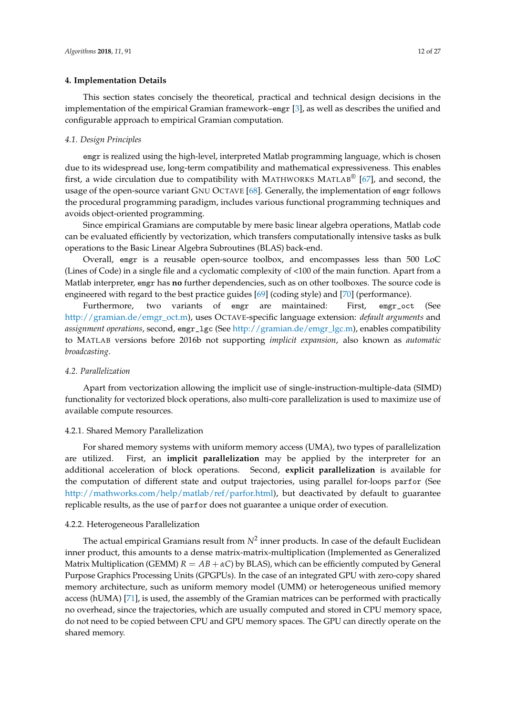#### <span id="page-11-0"></span>**4. Implementation Details**

This section states concisely the theoretical, practical and technical design decisions in the implementation of the empirical Gramian framework–emgr [\[3\]](#page-22-2), as well as describes the unified and configurable approach to empirical Gramian computation.

#### *4.1. Design Principles*

emgr is realized using the high-level, interpreted Matlab programming language, which is chosen due to its widespread use, long-term compatibility and mathematical expressiveness. This enables first, a wide circulation due to compatibility with MATHWORKS MATLAB®  $[67]$ , and second, the usage of the open-source variant GNU OCTAVE [\[68\]](#page-25-12). Generally, the implementation of emgr follows the procedural programming paradigm, includes various functional programming techniques and avoids object-oriented programming.

Since empirical Gramians are computable by mere basic linear algebra operations, Matlab code can be evaluated efficiently by vectorization, which transfers computationally intensive tasks as bulk operations to the Basic Linear Algebra Subroutines (BLAS) back-end.

Overall, emgr is a reusable open-source toolbox, and encompasses less than 500 LoC (Lines of Code) in a single file and a cyclomatic complexity of <100 of the main function. Apart from a Matlab interpreter, emgr has **no** further dependencies, such as on other toolboxes. The source code is engineered with regard to the best practice guides [\[69\]](#page-25-13) (coding style) and [\[70\]](#page-25-14) (performance).

Furthermore, two variants of emgr are maintained: First, emgr\_oct (See [http://gramian.de/emgr\\_oct.m\)](http://gramian.de/emgr_oct.m), uses OCTAVE-specific language extension: *default arguments* and *assignment operations*, second, emgr\_lgc (See [http://gramian.de/emgr\\_lgc.m\)](http://gramian.de/emgr_lgc.m), enables compatibility to MATLAB versions before 2016b not supporting *implicit expansion*, also known as *automatic broadcasting*.

# <span id="page-11-1"></span>*4.2. Parallelization*

Apart from vectorization allowing the implicit use of single-instruction-multiple-data (SIMD) functionality for vectorized block operations, also multi-core parallelization is used to maximize use of available compute resources.

# 4.2.1. Shared Memory Parallelization

For shared memory systems with uniform memory access (UMA), two types of parallelization are utilized. First, an **implicit parallelization** may be applied by the interpreter for an additional acceleration of block operations. Second, **explicit parallelization** is available for the computation of different state and output trajectories, using parallel for-loops parfor (See [http://mathworks.com/help/matlab/ref/parfor.html\)](http://mathworks.com/help/matlab/ref/parfor.html), but deactivated by default to guarantee replicable results, as the use of parfor does not guarantee a unique order of execution.

# <span id="page-11-2"></span>4.2.2. Heterogeneous Parallelization

The actual empirical Gramians result from  $N^2$  inner products. In case of the default Euclidean inner product, this amounts to a dense matrix-matrix-multiplication (Implemented as Generalized Matrix Multiplication (GEMM)  $R = AB + \alpha C$ ) by BLAS), which can be efficiently computed by General Purpose Graphics Processing Units (GPGPUs). In the case of an integrated GPU with zero-copy shared memory architecture, such as uniform memory model (UMM) or heterogeneous unified memory access (hUMA) [\[71\]](#page-25-15), is used, the assembly of the Gramian matrices can be performed with practically no overhead, since the trajectories, which are usually computed and stored in CPU memory space, do not need to be copied between CPU and GPU memory spaces. The GPU can directly operate on the shared memory.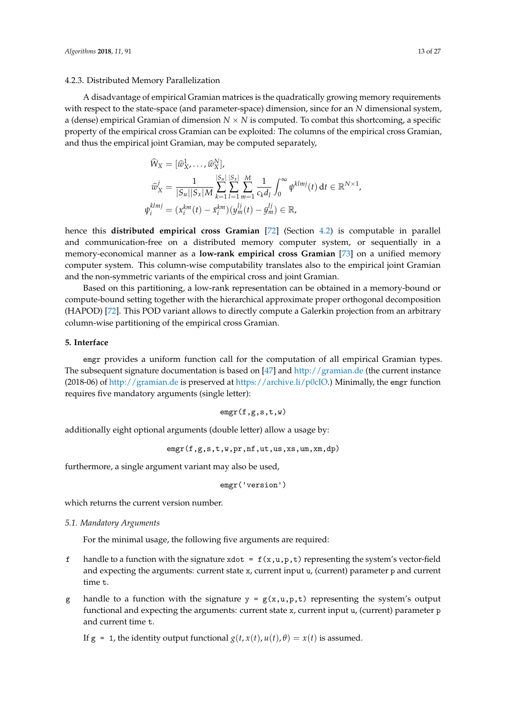#### <span id="page-12-1"></span>4.2.3. Distributed Memory Parallelization

A disadvantage of empirical Gramian matrices is the quadratically growing memory requirements with respect to the state-space (and parameter-space) dimension, since for an *N* dimensional system, a (dense) empirical Gramian of dimension  $N \times N$  is computed. To combat this shortcoming, a specific property of the empirical cross Gramian can be exploited: The columns of the empirical cross Gramian, and thus the empirical joint Gramian, may be computed separately,

$$
\hat{W}_X = [\hat{w}_X^1, \dots, \hat{w}_X^N], \n\hat{w}_X^j = \frac{1}{|S_u||S_x|M} \sum_{k=1}^{|S_u|} \sum_{l=1}^{|S_x|} \sum_{m=1}^M \frac{1}{c_k d_l} \int_0^\infty \psi^{klmj}(t) dt \in \mathbb{R}^{N \times 1}, \n\psi_i^{klmj} = (x_i^{km}(t) - \bar{x}_i^{km})(y_m^{lj}(t) - \bar{y}_m^{lj}) \in \mathbb{R},
$$

hence this **distributed empirical cross Gramian** [\[72\]](#page-25-16) (Section [4.2\)](#page-11-1) is computable in parallel and communication-free on a distributed memory computer system, or sequentially in a memory-economical manner as a **low-rank empirical cross Gramian** [\[73\]](#page-25-17) on a unified memory computer system. This column-wise computability translates also to the empirical joint Gramian and the non-symmetric variants of the empirical cross and joint Gramian.

Based on this partitioning, a low-rank representation can be obtained in a memory-bound or compute-bound setting together with the hierarchical approximate proper orthogonal decomposition (HAPOD) [\[72\]](#page-25-16). This POD variant allows to directly compute a Galerkin projection from an arbitrary column-wise partitioning of the empirical cross Gramian.

# <span id="page-12-0"></span>**5. Interface**

emgr provides a uniform function call for the computation of all empirical Gramian types. The subsequent signature documentation is based on [\[47\]](#page-24-16) and <http://gramian.de> (the current instance (2018-06) of <http://gramian.de> is preserved at [https://archive.li/p0cIO.](https://archive.li/p0cIO)) Minimally, the emgr function requires five mandatory arguments (single letter):

$$
\texttt{emgr}(f,g,s,t,w)
$$

additionally eight optional arguments (double letter) allow a usage by:

$$
\texttt{emgr}(f,g,s,t,w,pr,nf,ut,us,xs,um,xm,dp)
$$

furthermore, a single argument variant may also be used,

emgr('version')

which returns the current version number.

# *5.1. Mandatory Arguments*

For the minimal usage, the following five arguments are required:

- f handle to a function with the signature xdot =  $f(x,u,p,t)$  representing the system's vector-field and expecting the arguments: current state x, current input u, (current) parameter p and current time t.
- g handle to a function with the signature  $y = g(x, u, p, t)$  representing the system's output functional and expecting the arguments: current state x, current input u, (current) parameter p and current time t.

If  $g = 1$ , the identity output functional  $g(t, x(t), u(t), \theta) = x(t)$  is assumed.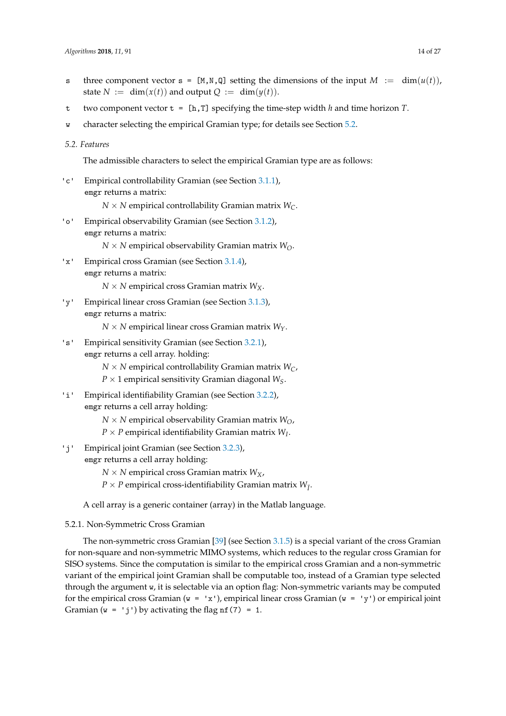- s three component vector  $s = [M, N, Q]$  setting the dimensions of the input  $M := \dim(u(t))$ , state  $N := \dim(x(t))$  and output  $Q := \dim(y(t))$ .
- t two component vector  $t = [h, T]$  specifying the time-step width *h* and time horizon *T*.
- w character selecting the empirical Gramian type; for details see Section [5.2.](#page-13-0)
- <span id="page-13-0"></span>*5.2. Features*

The admissible characters to select the empirical Gramian type are as follows:

'c' Empirical controllability Gramian (see Section [3.1.1\)](#page-6-0), emgr returns a matrix:

 $N \times N$  empirical controllability Gramian matrix  $W_C$ .

- 'o' Empirical observability Gramian (see Section [3.1.2\)](#page-6-1), emgr returns a matrix:
	- $N \times N$  empirical observability Gramian matrix  $W_O$ .
- 'x' Empirical cross Gramian (see Section [3.1.4\)](#page-7-1), emgr returns a matrix:

 $N \times N$  empirical cross Gramian matrix  $W_X$ .

- 'y' Empirical linear cross Gramian (see Section [3.1.3\)](#page-7-0), emgr returns a matrix:
	- *N* × *N* empirical linear cross Gramian matrix *WY*.
- 's' Empirical sensitivity Gramian (see Section [3.2.1\)](#page-8-0), emgr returns a cell array. holding:
	- $N \times N$  empirical controllability Gramian matrix  $W_C$ ,
	- $P \times 1$  empirical sensitivity Gramian diagonal  $W_S$ .
- 'i' Empirical identifiability Gramian (see Section [3.2.2\)](#page-9-1), emgr returns a cell array holding:
	- $N \times N$  empirical observability Gramian matrix  $W_O$ ,
	- $P \times P$  empirical identifiability Gramian matrix  $W_I$ .
- 'j' Empirical joint Gramian (see Section [3.2.3\)](#page-10-0),

emgr returns a cell array holding:

- $N \times N$  empirical cross Gramian matrix  $W_X$ ,
- $P \times P$  empirical cross-identifiability Gramian matrix  $W_{\tilde{I}}$ .

A cell array is a generic container (array) in the Matlab language.

5.2.1. Non-Symmetric Cross Gramian

The non-symmetric cross Gramian [\[39\]](#page-24-8) (see Section [3.1.5\)](#page-8-1) is a special variant of the cross Gramian for non-square and non-symmetric MIMO systems, which reduces to the regular cross Gramian for SISO systems. Since the computation is similar to the empirical cross Gramian and a non-symmetric variant of the empirical joint Gramian shall be computable too, instead of a Gramian type selected through the argument w, it is selectable via an option flag: Non-symmetric variants may be computed for the empirical cross Gramian ( $w = 'x'$ ), empirical linear cross Gramian ( $w = 'y'$ ) or empirical joint Gramian ( $w = 'i')$  by activating the flag nf(7) = 1.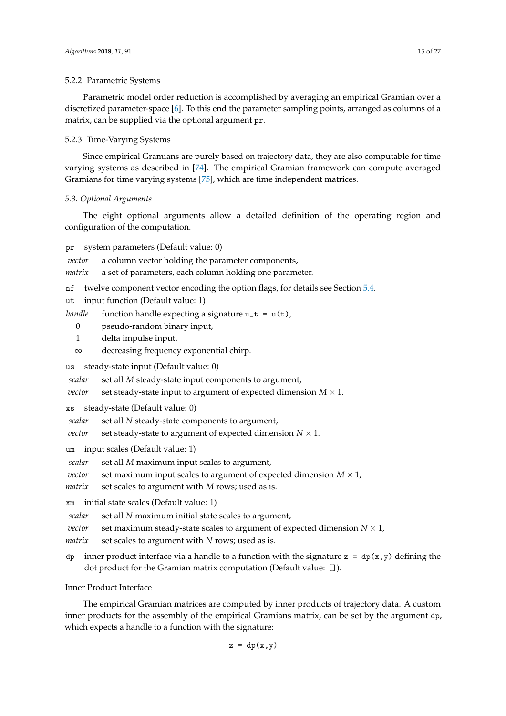# 5.2.2. Parametric Systems

Parametric model order reduction is accomplished by averaging an empirical Gramian over a discretized parameter-space [\[6\]](#page-22-5). To this end the parameter sampling points, arranged as columns of a matrix, can be supplied via the optional argument pr.

# 5.2.3. Time-Varying Systems

Since empirical Gramians are purely based on trajectory data, they are also computable for time varying systems as described in [\[74\]](#page-25-18). The empirical Gramian framework can compute averaged Gramians for time varying systems [\[75\]](#page-25-19), which are time independent matrices.

# *5.3. Optional Arguments*

The eight optional arguments allow a detailed definition of the operating region and configuration of the computation.

### pr system parameters (Default value: 0)

*vector* a column vector holding the parameter components,

*matrix* a set of parameters, each column holding one parameter.

nf twelve component vector encoding the option flags, for details see Section [5.4.](#page-15-0)

- ut input function (Default value: 1)
- *handle* function handle expecting a signature  $u_t = u(t)$ ,
	- 0 pseudo-random binary input,
	- 1 delta impulse input,
	- ∞ decreasing frequency exponential chirp.

us steady-state input (Default value: 0)

*scalar* set all *M* steady-state input components to argument,

*vector* set steady-state input to argument of expected dimension  $M \times 1$ .

- xs steady-state (Default value: 0)
- *scalar* set all *N* steady-state components to argument,
- *vector* set steady-state to argument of expected dimension  $N \times 1$ .
- um input scales (Default value: 1)

*scalar* set all *M* maximum input scales to argument,

*vector* set maximum input scales to argument of expected dimension  $M \times 1$ ,

*matrix* set scales to argument with *M* rows; used as is.

xm initial state scales (Default value: 1)

*scalar* set all *N* maximum initial state scales to argument,

*vector* set maximum steady-state scales to argument of expected dimension  $N \times 1$ ,

*matrix* set scales to argument with *N* rows; used as is.

dp inner product interface via a handle to a function with the signature  $z = dp(x,y)$  defining the dot product for the Gramian matrix computation (Default value: []).

Inner Product Interface

The empirical Gramian matrices are computed by inner products of trajectory data. A custom inner products for the assembly of the empirical Gramians matrix, can be set by the argument dp, which expects a handle to a function with the signature:

$$
z = dp(x, y)
$$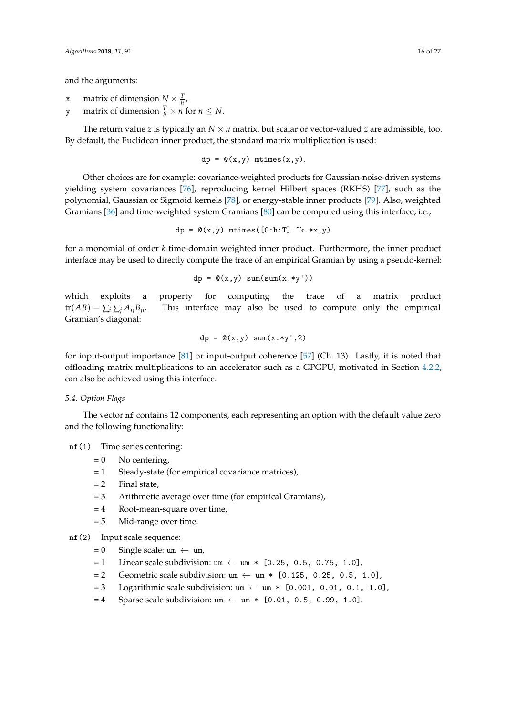and the arguments:

- x matrix of dimension  $N \times \frac{T}{h}$ ,
- y matrix of dimension  $\frac{T}{h} \times n$  for  $n \leq N$ .

The return value *z* is typically an  $N \times n$  matrix, but scalar or vector-valued *z* are admissible, too. By default, the Euclidean inner product, the standard matrix multiplication is used:

$$
dp = \mathbb{Q}(x,y) \text{ mtimes}(x,y).
$$

Other choices are for example: covariance-weighted products for Gaussian-noise-driven systems yielding system covariances [\[76\]](#page-25-20), reproducing kernel Hilbert spaces (RKHS) [\[77\]](#page-25-21), such as the polynomial, Gaussian or Sigmoid kernels [\[78\]](#page-25-22), or energy-stable inner products [\[79\]](#page-25-23). Also, weighted Gramians [\[36\]](#page-24-5) and time-weighted system Gramians [\[80\]](#page-25-24) can be computed using this interface, i.e.,

$$
dp = \mathbb{Q}(x, y) \text{ mitmes} ([0:h:T].\hat{k}.*x, y)
$$

for a monomial of order *k* time-domain weighted inner product. Furthermore, the inner product interface may be used to directly compute the trace of an empirical Gramian by using a pseudo-kernel:

$$
dp = \mathbb{Q}(x, y) \text{ sum}(\text{sum}(x \cdot *y'))
$$

which exploits a property for computing the trace of a matrix product  $tr(AB) = \sum_i \sum_j A_{ij}B_{ji}$ . This interface may also be used to compute only the empirical Gramian's diagonal:

$$
dp = \mathbb{Q}(x, y) \quad \text{sum}(x \cdot \text{sy}^{\mathsf{T}}, 2)
$$

for input-output importance [\[81\]](#page-25-25) or input-output coherence [\[57\]](#page-25-1) (Ch. 13). Lastly, it is noted that offloading matrix multiplications to an accelerator such as a GPGPU, motivated in Section [4.2.2,](#page-11-2) can also be achieved using this interface.

#### <span id="page-15-0"></span>*5.4. Option Flags*

The vector nf contains 12 components, each representing an option with the default value zero and the following functionality:

# nf(1) Time series centering:

- $= 0$  No centering,
- = 1 Steady-state (for empirical covariance matrices),
- $= 2$  Final state,
- = 3 Arithmetic average over time (for empirical Gramians),
- = 4 Root-mean-square over time,
- $= 5$  Mid-range over time.

# nf(2) Input scale sequence:

- $= 0$  Single scale: um  $\leftarrow$  um,
- $= 1$  Linear scale subdivision: um  $\leftarrow$  um  $*$  [0.25, 0.5, 0.75, 1.0],
- $= 2$  Geometric scale subdivision: um  $\leftarrow$  um  $*$  [0.125, 0.25, 0.5, 1.0],
- $= 3$  Logarithmic scale subdivision: um  $\leftarrow$  um  $*$  [0.001, 0.01, 0.1, 1.0],
- $= 4$  Sparse scale subdivision: um  $\leftarrow$  um  $*$  [0.01, 0.5, 0.99, 1.0].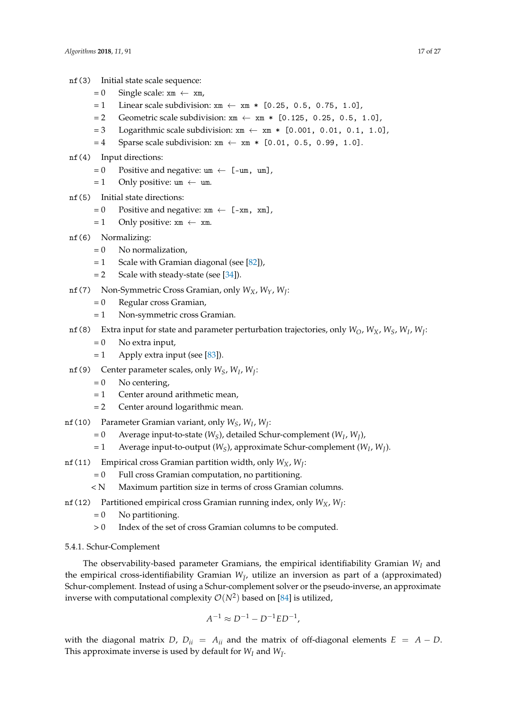- nf(3) Initial state scale sequence:
	- $= 0$  Single scale: xm  $\leftarrow$  xm,
	- $= 1$  Linear scale subdivision:  $x \text{m} \leftarrow x \text{m} * [0.25, 0.5, 0.75, 1.0]$ ,
	- $= 2$  Geometric scale subdivision:  $x \text{m} \leftarrow x \text{m} * [0.125, 0.25, 0.5, 1.0]$ ,
	- $= 3$  Logarithmic scale subdivision:  $x \text{m} \leftarrow x \text{m} * [0.001, 0.01, 0.1, 1.0]$ ,
	- $= 4$  Sparse scale subdivision:  $x \text{m} \leftarrow x \text{m} * [0.01, 0.5, 0.99, 1.0].$
- nf(4) Input directions:
	- $= 0$  Positive and negative: um  $\leftarrow$  [-um, um],
	- $= 1$  Only positive: um  $\leftarrow$  um.
- nf(5) Initial state directions:
	- $= 0$  Positive and negative:  $x \text{m} \leftarrow [-x \text{m}, x \text{m}]$ ,
	- $= 1$  Only positive:  $x \text{m} \leftarrow x \text{m}$ .
- nf(6) Normalizing:
	- $= 0$  No normalization,
	- $= 1$  Scale with Gramian diagonal (see [\[82\]](#page-26-0)),
	- $= 2$  Scale with steady-state (see [\[34\]](#page-24-3)).
- nf(7) Non-Symmetric Cross Gramian, only *WX*, *WY*, *W<sup>J</sup>* :
	- = 0 Regular cross Gramian,
	- = 1 Non-symmetric cross Gramian.
- nf(8) Extra input for state and parameter perturbation trajectories, only *WO*, *WX*, *WS*, *W<sup>I</sup>* , *W<sup>J</sup>* :
	- $= 0$  No extra input,
	- $= 1$  Apply extra input (see [\[83\]](#page-26-1)).
- nf(9) Center parameter scales, only *WS*, *W<sup>I</sup>* , *W<sup>J</sup>* :
	- $= 0$  No centering,
	- = 1 Center around arithmetic mean,
	- = 2 Center around logarithmic mean.
- nf(10) Parameter Gramian variant, only *WS*, *W<sup>I</sup>* , *W<sup>J</sup>* :
	- = 0 Average input-to-state (*WS*), detailed Schur-complement (*W<sup>I</sup>* , *W<sup>J</sup>* ),
	- = 1 Average input-to-output (*WS*), approximate Schur-complement (*W<sup>I</sup>* , *W<sup>J</sup>* ).
- nf(11) Empirical cross Gramian partition width, only *WX*, *W<sup>J</sup>* :
	- $= 0$  Full cross Gramian computation, no partitioning.
	- < N Maximum partition size in terms of cross Gramian columns.
- nf(12) Partitioned empirical cross Gramian running index, only *WX*, *W<sup>J</sup>* :
	- $= 0$  No partitioning.
	- > 0 Index of the set of cross Gramian columns to be computed.

#### 5.4.1. Schur-Complement

The observability-based parameter Gramians, the empirical identifiability Gramian *W<sup>I</sup>* and the empirical cross-identifiability Gramian  $W_{\tilde{I}}$ , utilize an inversion as part of a (approximated) Schur-complement. Instead of using a Schur-complement solver or the pseudo-inverse, an approximate inverse with computational complexity  $\mathcal{O}(N^2)$  based on [\[84\]](#page-26-2) is utilized,

$$
A^{-1} \approx D^{-1} - D^{-1}ED^{-1},
$$

with the diagonal matrix *D*,  $D_{ii} = A_{ii}$  and the matrix of off-diagonal elements  $E = A - D$ . This approximate inverse is used by default for  $W_I$  and  $W_{\tilde{I}}$ .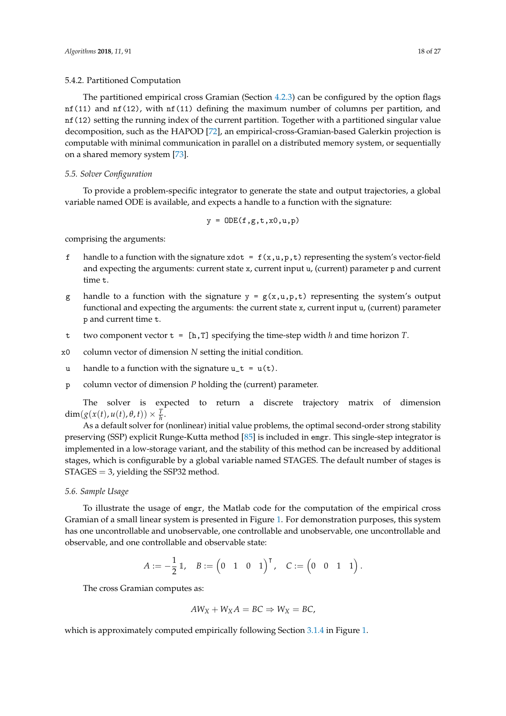# 5.4.2. Partitioned Computation

The partitioned empirical cross Gramian (Section [4.2.3\)](#page-12-1) can be configured by the option flags nf(11) and nf(12), with nf(11) defining the maximum number of columns per partition, and nf(12) setting the running index of the current partition. Together with a partitioned singular value decomposition, such as the HAPOD [\[72\]](#page-25-16), an empirical-cross-Gramian-based Galerkin projection is computable with minimal communication in parallel on a distributed memory system, or sequentially on a shared memory system [\[73\]](#page-25-17).

#### <span id="page-17-1"></span>*5.5. Solver Configuration*

To provide a problem-specific integrator to generate the state and output trajectories, a global variable named ODE is available, and expects a handle to a function with the signature:

$$
y = ODE(f, g, t, x0, u, p)
$$

comprising the arguments:

- handle to a function with the signature xdot =  $f(x,u,p,t)$  representing the system's vector-field and expecting the arguments: current state x, current input u, (current) parameter p and current time t.
- g handle to a function with the signature  $y = g(x, u, p, t)$  representing the system's output functional and expecting the arguments: the current state x, current input u, (current) parameter p and current time t.
- t two component vector t = [h,T] specifying the time-step width *h* and time horizon *T*.
- x0 column vector of dimension *N* setting the initial condition.
- u handle to a function with the signature  $u_t = u(t)$ .
- p column vector of dimension *P* holding the (current) parameter.

The solver is expected to return a discrete trajectory matrix of dimension  $\dim(g(x(t), u(t), \theta, t)) \times \frac{T}{h}.$ 

As a default solver for (nonlinear) initial value problems, the optimal second-order strong stability preserving (SSP) explicit Runge-Kutta method [\[85\]](#page-26-3) is included in emgr. This single-step integrator is implemented in a low-storage variant, and the stability of this method can be increased by additional stages, which is configurable by a global variable named STAGES. The default number of stages is  $STAGES = 3$ , yielding the SSP32 method.

# <span id="page-17-0"></span>*5.6. Sample Usage*

To illustrate the usage of emgr, the Matlab code for the computation of the empirical cross Gramian of a small linear system is presented in Figure [1.](#page-18-1) For demonstration purposes, this system has one uncontrollable and unobservable, one controllable and unobservable, one uncontrollable and observable, and one controllable and observable state:

$$
A:=-\frac{1}{2}\,\mathbbm{1},\quad B:=\begin{pmatrix}0&1&0&1\end{pmatrix}^\intercal,\quad C:=\begin{pmatrix}0&0&1&1\end{pmatrix}.
$$

The cross Gramian computes as:

$$
AW_X + W_XA = BC \Rightarrow W_X = BC,
$$

which is approximately computed empirically following Section [3.1.4](#page-7-1) in Figure [1.](#page-18-1)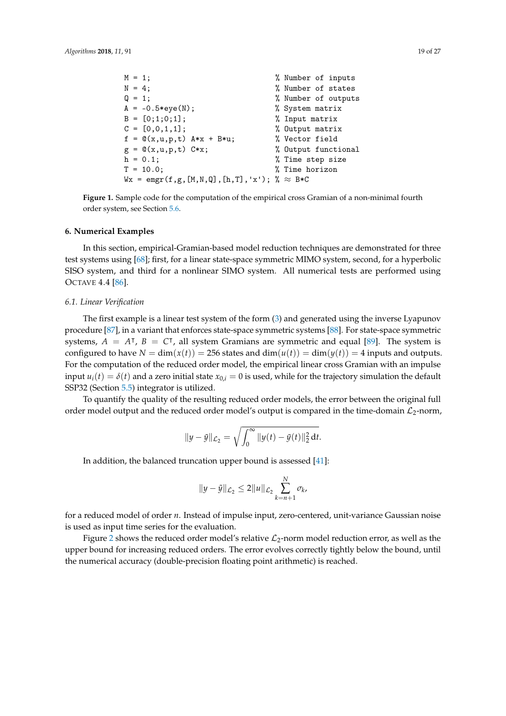```
M = 1; M = 1;
N = 4; \% Number of states
Q = 1; \% Number of outputs
A = -0.5*eye(N); % System matrix
B = [0;1;0;1]; % Input matrix
C = [0, 0, 1, 1]; % Output matrix
f = \mathbb{Q}(x, u, p, t) A * x + B * u; % Vector field
g = \mathbb{Q}(x, u, p, t) C*x; \qquad \qquad \% Output functional
h = 0.1; \% Time step size
T = 10.0; % Time horizon
Wx = \text{emgr}(f, g, [M, N, Q], [h, T], 'x'); % \approx B*C
```
**Figure 1.** Sample code for the computation of the empirical cross Gramian of a non-minimal fourth order system, see Section [5.6.](#page-17-0)

#### <span id="page-18-0"></span>**6. Numerical Examples**

In this section, empirical-Gramian-based model reduction techniques are demonstrated for three test systems using [\[68\]](#page-25-12); first, for a linear state-space symmetric MIMO system, second, for a hyperbolic SISO system, and third for a nonlinear SIMO system. All numerical tests are performed using OCTAVE 4.4 [\[86\]](#page-26-4).

#### <span id="page-18-2"></span>*6.1. Linear Verification*

The first example is a linear test system of the form [\(3\)](#page-5-0) and generated using the inverse Lyapunov procedure [\[87\]](#page-26-5), in a variant that enforces state-space symmetric systems [\[88\]](#page-26-6). For state-space symmetric systems,  $A = A^{\dagger}$ ,  $B = C^{\dagger}$ , all system Gramians are symmetric and equal [\[89\]](#page-26-7). The system is configured to have  $N = \dim(x(t)) = 256$  states and  $\dim(u(t)) = \dim(y(t)) = 4$  inputs and outputs. For the computation of the reduced order model, the empirical linear cross Gramian with an impulse input  $u_i(t) = \delta(t)$  and a zero initial state  $x_{0,i} = 0$  is used, while for the trajectory simulation the default SSP32 (Section [5.5\)](#page-17-1) integrator is utilized.

To quantify the quality of the resulting reduced order models, the error between the original full order model output and the reduced order model's output is compared in the time-domain  $\mathcal{L}_2$ -norm,

$$
||y - \tilde{y}||_{\mathcal{L}_2} = \sqrt{\int_0^\infty ||y(t) - \tilde{y}(t)||_2^2 dt}.
$$

In addition, the balanced truncation upper bound is assessed [\[41\]](#page-24-10):

$$
||y - \tilde{y}||_{\mathcal{L}_2} \le 2||u||_{\mathcal{L}_2} \sum_{k=n+1}^{N} \sigma_k,
$$

for a reduced model of order *n*. Instead of impulse input, zero-centered, unit-variance Gaussian noise is used as input time series for the evaluation.

Figure [2](#page-19-0) shows the reduced order model's relative  $\mathcal{L}_2$ -norm model reduction error, as well as the upper bound for increasing reduced orders. The error evolves correctly tightly below the bound, until the numerical accuracy (double-precision floating point arithmetic) is reached.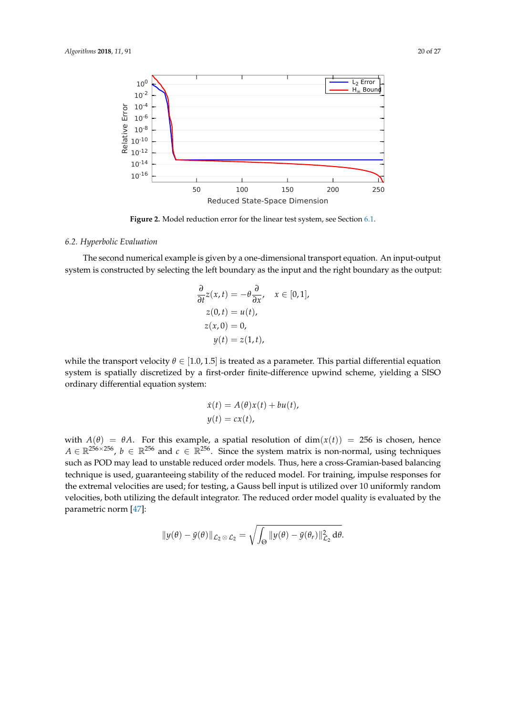<span id="page-19-0"></span>

Figure 2. Model reduction error for the linear test system, see Section [6.1.](#page-18-2)

# <span id="page-19-1"></span>*6.2. Hyperbolic Evaluation*

The second numerical example is given by a one-dimensional transport equation. An input-output system is constructed by selecting the left boundary as the input and the right boundary as the output:

$$
\frac{\partial}{\partial t} z(x, t) = -\theta \frac{\partial}{\partial x}, \quad x \in [0, 1],
$$
  
\n
$$
z(0, t) = u(t),
$$
  
\n
$$
z(x, 0) = 0,
$$
  
\n
$$
y(t) = z(1, t),
$$

while the transport velocity  $\theta \in [1.0, 1.5]$  is treated as a parameter. This partial differential equation system is spatially discretized by a first-order finite-difference upwind scheme, yielding a SISO ordinary differential equation system:

$$
\dot{x}(t) = A(\theta)x(t) + bu(t),
$$
  

$$
y(t) = cx(t),
$$

with  $A(\theta) = \theta A$ . For this example, a spatial resolution of dim $(x(t)) = 256$  is chosen, hence  $A \in \mathbb{R}^{256 \times 256}$ ,  $b \in \mathbb{R}^{256}$  and  $c \in \mathbb{R}^{256}$ . Since the system matrix is non-normal, using techniques such as POD may lead to unstable reduced order models. Thus, here a cross-Gramian-based balancing technique is used, guaranteeing stability of the reduced model. For training, impulse responses for the extremal velocities are used; for testing, a Gauss bell input is utilized over 10 uniformly random velocities, both utilizing the default integrator. The reduced order model quality is evaluated by the parametric norm [\[47\]](#page-24-16):

$$
||y(\theta) - \tilde{y}(\theta)||_{\mathcal{L}_2 \otimes \mathcal{L}_2} = \sqrt{\int_{\Theta} ||y(\theta) - \tilde{y}(\theta_r)||_{\mathcal{L}_2}^2 d\theta}.
$$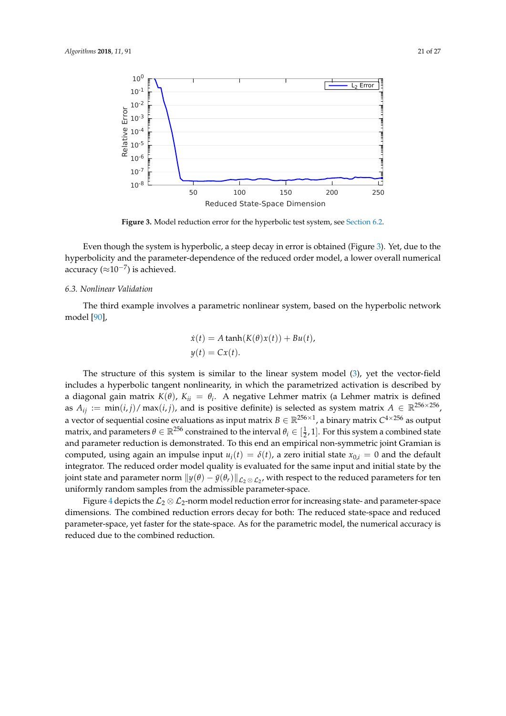<span id="page-20-0"></span>

Figure 3. Model reduction error for the hyperbolic test system, see [Section 6.2.](#page-19-1)

Even though the system is hyperbolic, a steep decay in error is obtained (Figure [3\)](#page-20-0). Yet, due to the hyperbolicity and the parameter-dependence of the reduced order model, a lower overall numerical accuracy ( $\approx$ 10<sup>-7</sup>) is achieved.

# <span id="page-20-1"></span>*6.3. Nonlinear Validation*

The third example involves a parametric nonlinear system, based on the hyperbolic network model [\[90\]](#page-26-8),

$$
\dot{x}(t) = A \tanh(K(\theta)x(t)) + Bu(t),
$$
  

$$
y(t) = Cx(t).
$$

The structure of this system is similar to the linear system model [\(3\)](#page-5-0), yet the vector-field includes a hyperbolic tangent nonlinearity, in which the parametrized activation is described by a diagonal gain matrix *K*(*θ*), *Kii* = *θ<sup>i</sup>* . A negative Lehmer matrix (a Lehmer matrix is defined as  $A_{ij} := \min(i, j) / \max(i, j)$ , and is positive definite) is selected as system matrix  $A \in \mathbb{R}^{256 \times 256}$ , a vector of sequential cosine evaluations as input matrix  $B\in\mathbb{R}^{256\times1}$ , a binary matrix  $C^{4\times256}$  as output matrix, and parameters  $\theta \in \mathbb{R}^{256}$  constrained to the interval  $\theta_i \in [\frac{1}{2}, 1]$ . For this system a combined state and parameter reduction is demonstrated. To this end an empirical non-symmetric joint Gramian is computed, using again an impulse input  $u_i(t) = \delta(t)$ , a zero initial state  $x_{0i} = 0$  and the default integrator. The reduced order model quality is evaluated for the same input and initial state by the joint state and parameter norm  $\|y(\theta)-\tilde{y}(\theta_r)\|_{\mathcal{L}_2\otimes\mathcal{L}_2}$ , with respect to the reduced parameters for ten uniformly random samples from the admissible parameter-space.

Figure [4](#page-21-1) depicts the  $\mathcal{L}_2 \otimes \mathcal{L}_2$ -norm model reduction error for increasing state- and parameter-space dimensions. The combined reduction errors decay for both: The reduced state-space and reduced parameter-space, yet faster for the state-space. As for the parametric model, the numerical accuracy is reduced due to the combined reduction.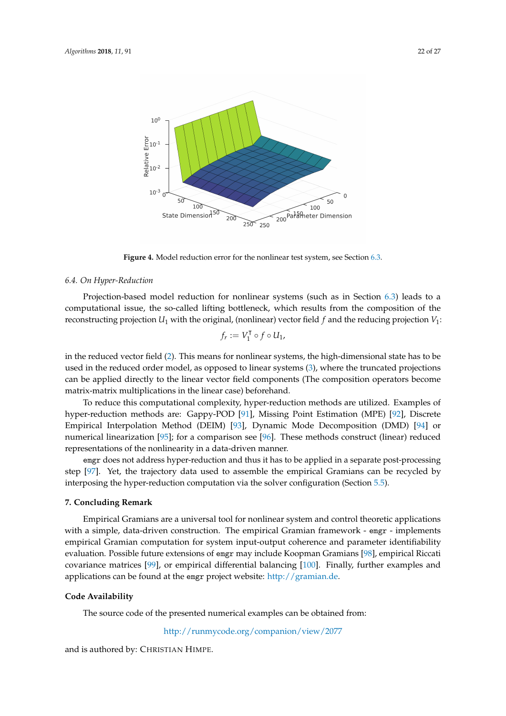<span id="page-21-1"></span>

Figure 4. Model reduction error for the nonlinear test system, see Section [6.3.](#page-20-1)

#### *6.4. On Hyper-Reduction*

Projection-based model reduction for nonlinear systems (such as in Section [6.3\)](#page-20-1) leads to a computational issue, the so-called lifting bottleneck, which results from the composition of the reconstructing projection  $U_1$  with the original, (nonlinear) vector field  $f$  and the reducing projection  $V_1$ :

$$
f_r := V_1^{\mathsf{T}} \circ f \circ U_1,
$$

in the reduced vector field [\(2\)](#page-3-0). This means for nonlinear systems, the high-dimensional state has to be used in the reduced order model, as opposed to linear systems [\(3\)](#page-5-0), where the truncated projections can be applied directly to the linear vector field components (The composition operators become matrix-matrix multiplications in the linear case) beforehand.

To reduce this computational complexity, hyper-reduction methods are utilized. Examples of hyper-reduction methods are: Gappy-POD [\[91\]](#page-26-9), Missing Point Estimation (MPE) [\[92\]](#page-26-10), Discrete Empirical Interpolation Method (DEIM) [\[93\]](#page-26-11), Dynamic Mode Decomposition (DMD) [\[94\]](#page-26-12) or numerical linearization [\[95\]](#page-26-13); for a comparison see [\[96\]](#page-26-14). These methods construct (linear) reduced representations of the nonlinearity in a data-driven manner.

emgr does not address hyper-reduction and thus it has to be applied in a separate post-processing step [\[97\]](#page-26-15). Yet, the trajectory data used to assemble the empirical Gramians can be recycled by interposing the hyper-reduction computation via the solver configuration (Section [5.5\)](#page-17-1).

#### <span id="page-21-0"></span>**7. Concluding Remark**

Empirical Gramians are a universal tool for nonlinear system and control theoretic applications with a simple, data-driven construction. The empirical Gramian framework - emgr - implements empirical Gramian computation for system input-output coherence and parameter identifiability evaluation. Possible future extensions of emgr may include Koopman Gramians [\[98\]](#page-26-16), empirical Riccati covariance matrices [\[99\]](#page-26-17), or empirical differential balancing [\[100\]](#page-26-18). Finally, further examples and applications can be found at the emgr project website: [http://gramian.de.](http://gramian.de)

# **Code Availability**

The source code of the presented numerical examples can be obtained from:

<http://runmycode.org/companion/view/2077>

and is authored by: CHRISTIAN HIMPE.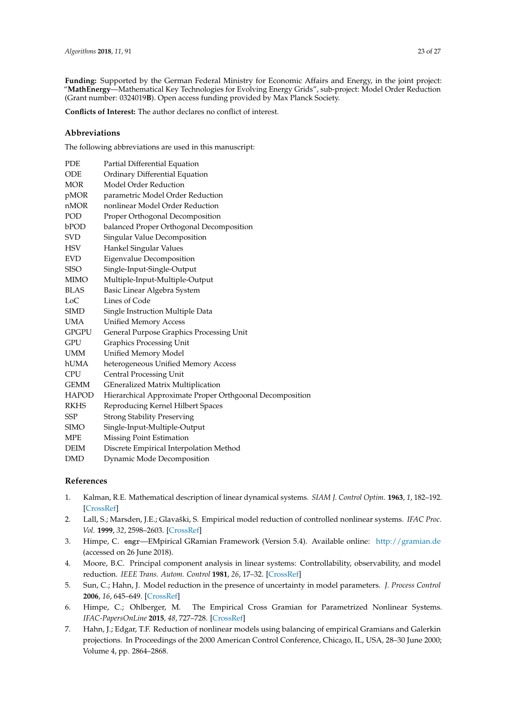**Funding:** Supported by the German Federal Ministry for Economic Affairs and Energy, in the joint project: "**MathEnergy**—Mathematical Key Technologies for Evolving Energy Grids", sub-project: Model Order Reduction (Grant number: 0324019**B**). Open access funding provided by Max Planck Society.

**Conflicts of Interest:** The author declares no conflict of interest.

# **Abbreviations**

The following abbreviations are used in this manuscript:

| PDE          | Partial Differential Equation                            |
|--------------|----------------------------------------------------------|
| ODE          | Ordinary Differential Equation                           |
| MOR          | Model Order Reduction                                    |
| pMOR         | parametric Model Order Reduction                         |
| nMOR         | nonlinear Model Order Reduction                          |
| POD          | Proper Orthogonal Decomposition                          |
| bPOD         | balanced Proper Orthogonal Decomposition                 |
| SVD          | Singular Value Decomposition                             |
| HSV          | Hankel Singular Values                                   |
| <b>EVD</b>   | Eigenvalue Decomposition                                 |
| <b>SISO</b>  | Single-Input-Single-Output                               |
| MIMO         | Multiple-Input-Multiple-Output                           |
| <b>BLAS</b>  | Basic Linear Algebra System                              |
| LoC          | Lines of Code                                            |
| SIMD         | Single Instruction Multiple Data                         |
| <b>UMA</b>   | <b>Unified Memory Access</b>                             |
| GPGPU        | General Purpose Graphics Processing Unit                 |
| GPU          | <b>Graphics Processing Unit</b>                          |
| <b>UMM</b>   | <b>Unified Memory Model</b>                              |
| hUMA         | heterogeneous Unified Memory Access                      |
| CPU          | <b>Central Processing Unit</b>                           |
| <b>GEMM</b>  | GEneralized Matrix Multiplication                        |
| <b>HAPOD</b> | Hierarchical Approximate Proper Orthgoonal Decomposition |
| <b>RKHS</b>  | Reproducing Kernel Hilbert Spaces                        |
| SSP          | <b>Strong Stability Preserving</b>                       |
| <b>SIMO</b>  | Single-Input-Multiple-Output                             |
| MPE          | Missing Point Estimation                                 |
| DEIM         | Discrete Empirical Interpolation Method                  |
| <b>DMD</b>   | Dynamic Mode Decomposition                               |
|              |                                                          |

# **References**

- <span id="page-22-0"></span>1. Kalman, R.E. Mathematical description of linear dynamical systems. *SIAM J. Control Optim.* **1963**, *1*, 182–192. [\[CrossRef\]](http://dx.doi.org/10.1137/0301010)
- <span id="page-22-1"></span>2. Lall, S.; Marsden, J.E.; Glavaški, S. Empirical model reduction of controlled nonlinear systems. *IFAC Proc. Vol.* **1999**, *32*, 2598–2603. [\[CrossRef\]](http://dx.doi.org/10.1016/S1474-6670(17)56442-3)
- <span id="page-22-2"></span>3. Himpe, C. emgr—EMpirical GRamian Framework (Version 5.4). Available online: <http://gramian.de> (accessed on 26 June 2018).
- <span id="page-22-3"></span>4. Moore, B.C. Principal component analysis in linear systems: Controllability, observability, and model reduction. *IEEE Trans. Autom. Control* **1981**, *26*, 17–32. [\[CrossRef\]](http://dx.doi.org/10.1109/TAC.1981.1102568)
- <span id="page-22-4"></span>5. Sun, C.; Hahn, J. Model reduction in the presence of uncertainty in model parameters. *J. Process Control* **2006**, *16*, 645–649. [\[CrossRef\]](http://dx.doi.org/10.1016/j.jprocont.2005.10.001)
- <span id="page-22-5"></span>6. Himpe, C.; Ohlberger, M. The Empirical Cross Gramian for Parametrized Nonlinear Systems. *IFAC-PapersOnLine* **2015**, *48*, 727–728. [\[CrossRef\]](http://dx.doi.org/10.1016/j.ifacol.2015.05.163)
- <span id="page-22-6"></span>7. Hahn, J.; Edgar, T.F. Reduction of nonlinear models using balancing of empirical Gramians and Galerkin projections. In Proceedings of the 2000 American Control Conference, Chicago, IL, USA, 28–30 June 2000; Volume 4, pp. 2864–2868.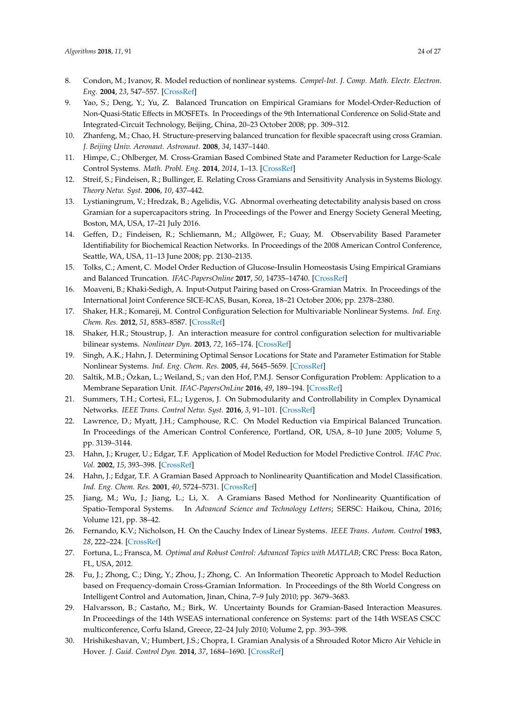- 8. Condon, M.; Ivanov, R. Model reduction of nonlinear systems. *Compel-Int. J. Comp. Math. Electr. Electron. Eng.* **2004**, *23*, 547–557. [\[CrossRef\]](http://dx.doi.org/10.1108/03321640410510730)
- <span id="page-23-0"></span>9. Yao, S.; Deng, Y.; Yu, Z. Balanced Truncation on Empirical Gramians for Model-Order-Reduction of Non-Quasi-Static Effects in MOSFETs. In Proceedings of the 9th International Conference on Solid-State and Integrated-Circuit Technology, Beijing, China, 20–23 October 2008; pp. 309–312.
- <span id="page-23-1"></span>10. Zhanfeng, M.; Chao, H. Structure-preserving balanced truncation for flexible spacecraft using cross Gramian. *J. Beijing Univ. Aeronaut. Astronaut.* **2008**, *34*, 1437–1440.
- <span id="page-23-2"></span>11. Himpe, C.; Ohlberger, M. Cross-Gramian Based Combined State and Parameter Reduction for Large-Scale Control Systems. *Math. Probl. Eng.* **2014**, *2014*, 1–13. [\[CrossRef\]](http://dx.doi.org/10.1155/2014/843869)
- <span id="page-23-3"></span>12. Streif, S.; Findeisen, R.; Bullinger, E. Relating Cross Gramians and Sensitivity Analysis in Systems Biology. *Theory Netw. Syst.* **2006**, *10*, 437–442.
- <span id="page-23-4"></span>13. Lystianingrum, V.; Hredzak, B.; Agelidis, V.G. Abnormal overheating detectability analysis based on cross Gramian for a supercapacitors string. In Proceedings of the Power and Energy Society General Meeting, Boston, MA, USA, 17–21 July 2016.
- <span id="page-23-5"></span>14. Geffen, D.; Findeisen, R.; Schliemann, M.; Allgöwer, F.; Guay, M. Observability Based Parameter Identifiability for Biochemical Reaction Networks. In Proceedings of the 2008 American Control Conference, Seattle, WA, USA, 11–13 June 2008; pp. 2130–2135.
- <span id="page-23-6"></span>15. Tolks, C.; Ament, C. Model Order Reduction of Glucose-Insulin Homeostasis Using Empirical Gramians and Balanced Truncation. *IFAC-PapersOnline* **2017**, *50*, 14735–14740. [\[CrossRef\]](http://dx.doi.org/10.1016/j.ifacol.2017.08.2576)
- <span id="page-23-7"></span>16. Moaveni, B.; Khaki-Sedigh, A. Input-Output Pairing based on Cross-Gramian Matrix. In Proceedings of the International Joint Conference SICE-ICAS, Busan, Korea, 18–21 October 2006; pp. 2378–2380.
- 17. Shaker, H.R.; Komareji, M. Control Configuration Selection for Multivariable Nonlinear Systems. *Ind. Eng. Chem. Res.* **2012**, *51*, 8583–8587. [\[CrossRef\]](http://dx.doi.org/10.1021/ie301137k)
- <span id="page-23-8"></span>18. Shaker, H.R.; Stoustrup, J. An interaction measure for control configuration selection for multivariable bilinear systems. *Nonlinear Dyn.* **2013**, *72*, 165–174. [\[CrossRef\]](http://dx.doi.org/10.1007/s11071-012-0700-z)
- <span id="page-23-9"></span>19. Singh, A.K.; Hahn, J. Determining Optimal Sensor Locations for State and Parameter Estimation for Stable Nonlinear Systems. *Ind. Eng. Chem. Res.* **2005**, *44*, 5645–5659. [\[CrossRef\]](http://dx.doi.org/10.1021/ie040212v)
- <span id="page-23-10"></span>20. Saltik, M.B.; Özkan, L.; Weiland, S.; van den Hof, P.M.J. Sensor Configuration Problem: Application to a Membrane Separation Unit. *IFAC-PapersOnLine* **2016**, *49*, 189–194. [\[CrossRef\]](http://dx.doi.org/10.1016/j.ifacol.2016.07.245)
- <span id="page-23-11"></span>21. Summers, T.H.; Cortesi, F.L.; Lygeros, J. On Submodularity and Controllability in Complex Dynamical Networks. *IEEE Trans. Control Netw. Syst.* **2016**, *3*, 91–101. [\[CrossRef\]](http://dx.doi.org/10.1109/TCNS.2015.2453711)
- <span id="page-23-12"></span>22. Lawrence, D.; Myatt, J.H.; Camphouse, R.C. On Model Reduction via Empirical Balanced Truncation. In Proceedings of the American Control Conference, Portland, OR, USA, 8–10 June 2005; Volume 5, pp. 3139–3144.
- <span id="page-23-13"></span>23. Hahn, J.; Kruger, U.; Edgar, T.F. Application of Model Reduction for Model Predictive Control. *IFAC Proc. Vol.* **2002**, *15*, 393–398. [\[CrossRef\]](http://dx.doi.org/10.3182/20020721-6-ES-1901.00634)
- <span id="page-23-14"></span>24. Hahn, J.; Edgar, T.F. A Gramian Based Approach to Nonlinearity Quantification and Model Classification. *Ind. Eng. Chem. Res.* **2001**, *40*, 5724–5731. [\[CrossRef\]](http://dx.doi.org/10.1021/ie010155v)
- <span id="page-23-15"></span>25. Jiang, M.; Wu, J.; Jiang, L.; Li, X. A Gramians Based Method for Nonlinearity Quantification of Spatio-Temporal Systems. In *Advanced Science and Technology Letters*; SERSC: Haikou, China, 2016; Volume 121, pp. 38–42.
- <span id="page-23-16"></span>26. Fernando, K.V.; Nicholson, H. On the Cauchy Index of Linear Systems. *IEEE Trans. Autom. Control* **1983**, *28*, 222–224. [\[CrossRef\]](http://dx.doi.org/10.1109/TAC.1983.1103200)
- <span id="page-23-17"></span>27. Fortuna, L.; Fransca, M. *Optimal and Robust Control: Advanced Topics with MATLAB*; CRC Press: Boca Raton, FL, USA, 2012.
- <span id="page-23-18"></span>28. Fu, J.; Zhong, C.; Ding, Y.; Zhou, J.; Zhong, C. An Information Theoretic Approach to Model Reduction based on Frequency-domain Cross-Gramian Information. In Proceedings of the 8th World Congress on Intelligent Control and Automation, Jinan, China, 7–9 July 2010; pp. 3679–3683.
- <span id="page-23-19"></span>29. Halvarsson, B.; Castaño, M.; Birk, W. Uncertainty Bounds for Gramian-Based Interaction Measures. In Proceedings of the 14th WSEAS international conference on Systems: part of the 14th WSEAS CSCC multiconference, Corfu Island, Greece, 22–24 July 2010; Volume 2, pp. 393–398.
- <span id="page-23-20"></span>30. Hrishikeshavan, V.; Humbert, J.S.; Chopra, I. Gramian Analysis of a Shrouded Rotor Micro Air Vehicle in Hover. *J. Guid. Control Dyn.* **2014**, *37*, 1684–1690. [\[CrossRef\]](http://dx.doi.org/10.2514/1.G000066)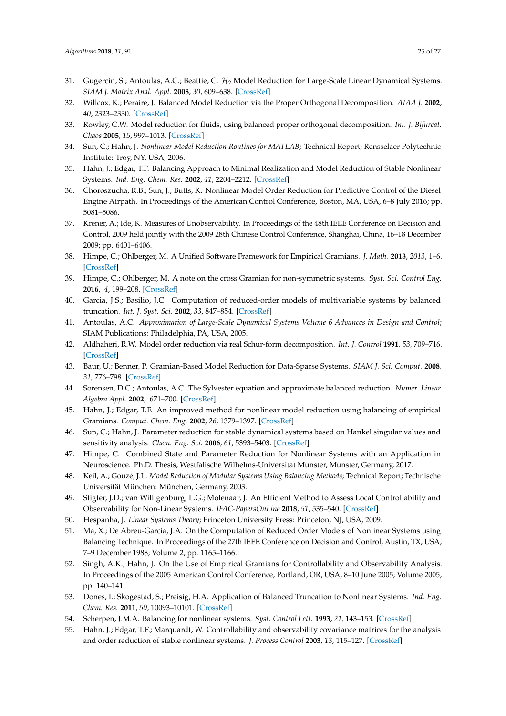- <span id="page-24-0"></span>31. Gugercin, S.; Antoulas, A.C.; Beattie, C.  $\mathcal{H}_2$  Model Reduction for Large-Scale Linear Dynamical Systems. *SIAM J. Matrix Anal. Appl.* **2008**, *30*, 609–638. [\[CrossRef\]](http://dx.doi.org/10.1137/060666123)
- <span id="page-24-1"></span>32. Willcox, K.; Peraire, J. Balanced Model Reduction via the Proper Orthogonal Decomposition. *AIAA J.* **2002**, *40*, 2323–2330. [\[CrossRef\]](http://dx.doi.org/10.2514/2.1570)
- <span id="page-24-2"></span>33. Rowley, C.W. Model reduction for fluids, using balanced proper orthogonal decomposition. *Int. J. Bifurcat. Chaos* **2005**, *15*, 997–1013. [\[CrossRef\]](http://dx.doi.org/10.1142/S0218127405012429)
- <span id="page-24-3"></span>34. Sun, C.; Hahn, J. *Nonlinear Model Reduction Routines for MATLAB*; Technical Report; Rensselaer Polytechnic Institute: Troy, NY, USA, 2006.
- <span id="page-24-4"></span>35. Hahn, J.; Edgar, T.F. Balancing Approach to Minimal Realization and Model Reduction of Stable Nonlinear Systems. *Ind. Eng. Chem. Res.* **2002**, *41*, 2204–2212. [\[CrossRef\]](http://dx.doi.org/10.1021/ie0106175)
- <span id="page-24-5"></span>36. Choroszucha, R.B.; Sun, J.; Butts, K. Nonlinear Model Order Reduction for Predictive Control of the Diesel Engine Airpath. In Proceedings of the American Control Conference, Boston, MA, USA, 6–8 July 2016; pp. 5081–5086.
- <span id="page-24-6"></span>37. Krener, A.; Ide, K. Measures of Unobservability. In Proceedings of the 48th IEEE Conference on Decision and Control, 2009 held jointly with the 2009 28th Chinese Control Conference, Shanghai, China, 16–18 December 2009; pp. 6401–6406.
- <span id="page-24-7"></span>38. Himpe, C.; Ohlberger, M. A Unified Software Framework for Empirical Gramians. *J. Math.* **2013**, *2013*, 1–6. [\[CrossRef\]](http://dx.doi.org/10.1155/2013/365909)
- <span id="page-24-8"></span>39. Himpe, C.; Ohlberger, M. A note on the cross Gramian for non-symmetric systems. *Syst. Sci. Control Eng.* **2016**, *4*, 199–208. [\[CrossRef\]](http://dx.doi.org/10.1080/21642583.2016.1215273)
- <span id="page-24-9"></span>40. Garcia, J.S.; Basilio, J.C. Computation of reduced-order models of multivariable systems by balanced truncation. *Int. J. Syst. Sci.* **2002**, *33*, 847–854. [\[CrossRef\]](http://dx.doi.org/10.1080/0020772021000017308)
- <span id="page-24-10"></span>41. Antoulas, A.C. *Approximation of Large-Scale Dynamical Systems Volume 6 Advances in Design and Control*; SIAM Publications: Philadelphia, PA, USA, 2005.
- <span id="page-24-11"></span>42. Aldhaheri, R.W. Model order reduction via real Schur-form decomposition. *Int. J. Control* **1991**, *53*, 709–716. [\[CrossRef\]](http://dx.doi.org/10.1080/00207179108953642)
- <span id="page-24-12"></span>43. Baur, U.; Benner, P. Gramian-Based Model Reduction for Data-Sparse Systems. *SIAM J. Sci. Comput.* **2008**, *31*, 776–798. [\[CrossRef\]](http://dx.doi.org/10.1137/070711578)
- <span id="page-24-13"></span>44. Sorensen, D.C.; Antoulas, A.C. The Sylvester equation and approximate balanced reduction. *Numer. Linear Algebra Appl.* **2002**, 671–700. [\[CrossRef\]](http://dx.doi.org/10.1016/S0024-3795(02)00283-5)
- <span id="page-24-14"></span>45. Hahn, J.; Edgar, T.F. An improved method for nonlinear model reduction using balancing of empirical Gramians. *Comput. Chem. Eng.* **2002**, *26*, 1379–1397. [\[CrossRef\]](http://dx.doi.org/10.1016/S0098-1354(02)00120-5)
- <span id="page-24-15"></span>46. Sun, C.; Hahn, J. Parameter reduction for stable dynamical systems based on Hankel singular values and sensitivity analysis. *Chem. Eng. Sci.* **2006**, *61*, 5393–5403. [\[CrossRef\]](http://dx.doi.org/10.1016/j.ces.2006.04.027)
- <span id="page-24-16"></span>47. Himpe, C. Combined State and Parameter Reduction for Nonlinear Systems with an Application in Neuroscience. Ph.D. Thesis, Westfälische Wilhelms-Universität Münster, Münster, Germany, 2017.
- <span id="page-24-17"></span>48. Keil, A.; Gouzé, J.L. *Model Reduction of Modular Systems Using Balancing Methods*; Technical Report; Technische Universität München: München, Germany, 2003.
- <span id="page-24-18"></span>49. Stigter, J.D.; van Willigenburg, L.G.; Molenaar, J. An Efficient Method to Assess Local Controllability and Observability for Non-Linear Systems. *IFAC-PapersOnLine* **2018**, *51*, 535–540. [\[CrossRef\]](http://dx.doi.org/10.1016/j.ifacol.2018.03.090)
- <span id="page-24-20"></span><span id="page-24-19"></span>50. Hespanha, J. *Linear Systems Theory*; Princeton University Press: Princeton, NJ, USA, 2009.
- 51. Ma, X.; De Abreu-Garcia, J.A. On the Computation of Reduced Order Models of Nonlinear Systems using Balancing Technique. In Proceedings of the 27th IEEE Conference on Decision and Control, Austin, TX, USA, 7–9 December 1988; Volume 2, pp. 1165–1166.
- <span id="page-24-21"></span>52. Singh, A.K.; Hahn, J. On the Use of Empirical Gramians for Controllability and Observability Analysis. In Proceedings of the 2005 American Control Conference, Portland, OR, USA, 8–10 June 2005; Volume 2005, pp. 140–141.
- <span id="page-24-22"></span>53. Dones, I.; Skogestad, S.; Preisig, H.A. Application of Balanced Truncation to Nonlinear Systems. *Ind. Eng. Chem. Res.* **2011**, *50*, 10093–10101. [\[CrossRef\]](http://dx.doi.org/10.1021/ie200706d)
- <span id="page-24-23"></span>54. Scherpen, J.M.A. Balancing for nonlinear systems. *Syst. Control Lett.* **1993**, *21*, 143–153. [\[CrossRef\]](http://dx.doi.org/10.1016/0167-6911(93)90117-O)
- <span id="page-24-24"></span>55. Hahn, J.; Edgar, T.F.; Marquardt, W. Controllability and observability covariance matrices for the analysis and order reduction of stable nonlinear systems. *J. Process Control* **2003**, *13*, 115–127. [\[CrossRef\]](http://dx.doi.org/10.1016/S0959-1524(02)00024-0)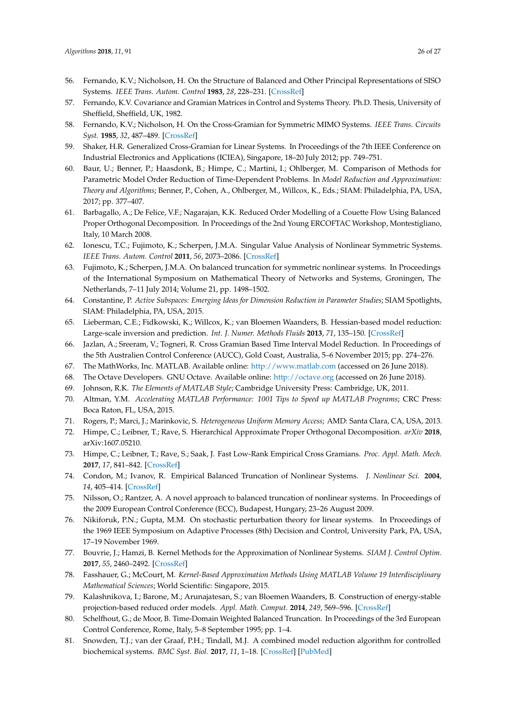- <span id="page-25-0"></span>56. Fernando, K.V.; Nicholson, H. On the Structure of Balanced and Other Principal Representations of SISO Systems. *IEEE Trans. Autom. Control* **1983**, *28*, 228–231. [\[CrossRef\]](http://dx.doi.org/10.1109/TAC.1983.1103195)
- <span id="page-25-1"></span>57. Fernando, K.V. Covariance and Gramian Matrices in Control and Systems Theory. Ph.D. Thesis, University of Sheffield, Sheffield, UK, 1982.
- <span id="page-25-2"></span>58. Fernando, K.V.; Nicholson, H. On the Cross-Gramian for Symmetric MIMO Systems. *IEEE Trans. Circuits Syst.* **1985**, *32*, 487–489. [\[CrossRef\]](http://dx.doi.org/10.1109/TCS.1985.1085737)
- <span id="page-25-3"></span>59. Shaker, H.R. Generalized Cross-Gramian for Linear Systems. In Proceedings of the 7th IEEE Conference on Industrial Electronics and Applications (ICIEA), Singapore, 18–20 July 2012; pp. 749–751.
- <span id="page-25-4"></span>60. Baur, U.; Benner, P.; Haasdonk, B.; Himpe, C.; Martini, I.; Ohlberger, M. Comparison of Methods for Parametric Model Order Reduction of Time-Dependent Problems. In *Model Reduction and Approximation: Theory and Algorithms*; Benner, P., Cohen, A., Ohlberger, M., Willcox, K., Eds.; SIAM: Philadelphia, PA, USA, 2017; pp. 377–407.
- <span id="page-25-5"></span>61. Barbagallo, A.; De Felice, V.F.; Nagarajan, K.K. Reduced Order Modelling of a Couette Flow Using Balanced Proper Orthogonal Decomposition. In Proceedings of the 2nd Young ERCOFTAC Workshop, Montestigliano, Italy, 10 March 2008.
- <span id="page-25-6"></span>62. Ionescu, T.C.; Fujimoto, K.; Scherpen, J.M.A. Singular Value Analysis of Nonlinear Symmetric Systems. *IEEE Trans. Autom. Control* **2011**, *56*, 2073–2086. [\[CrossRef\]](http://dx.doi.org/10.1109/TAC.2011.2126630)
- <span id="page-25-7"></span>63. Fujimoto, K.; Scherpen, J.M.A. On balanced truncation for symmetric nonlinear systems. In Proceedings of the International Symposium on Mathematical Theory of Networks and Systems, Groningen, The Netherlands, 7–11 July 2014; Volume 21, pp. 1498–1502.
- <span id="page-25-8"></span>64. Constantine, P. *Active Subspaces: Emerging Ideas for Dimension Reduction in Parameter Studies*; SIAM Spotlights, SIAM: Philadelphia, PA, USA, 2015.
- <span id="page-25-9"></span>65. Lieberman, C.E.; Fidkowski, K.; Willcox, K.; van Bloemen Waanders, B. Hessian-based model reduction: Large-scale inversion and prediction. *Int. J. Numer. Methods Fluids* **2013**, *71*, 135–150. [\[CrossRef\]](http://dx.doi.org/10.1002/fld.3650)
- <span id="page-25-10"></span>66. Jazlan, A.; Sreeram, V.; Togneri, R. Cross Gramian Based Time Interval Model Reduction. In Proceedings of the 5th Australien Control Conference (AUCC), Gold Coast, Australia, 5–6 November 2015; pp. 274–276.
- <span id="page-25-11"></span>67. The MathWorks, Inc. MATLAB. Available online: <http://www.matlab.com> (accessed on 26 June 2018).
- <span id="page-25-12"></span>68. The Octave Developers. GNU Octave. Available online: <http://octave.org> (accessed on 26 June 2018).
- <span id="page-25-13"></span>69. Johnson, R.K. *The Elements of MATLAB Style*; Cambridge University Press: Cambridge, UK, 2011.
- <span id="page-25-14"></span>70. Altman, Y.M. *Accelerating MATLAB Performance: 1001 Tips to Speed up MATLAB Programs*; CRC Press: Boca Raton, FL, USA, 2015.
- <span id="page-25-15"></span>71. Rogers, P.; Marci, J.; Marinkovic, S. *Heterogeneous Uniform Memory Access*; AMD: Santa Clara, CA, USA, 2013.
- <span id="page-25-16"></span>72. Himpe, C.; Leibner, T.; Rave, S. Hierarchical Approximate Proper Orthogonal Decomposition. *arXiv* **2018**, arXiv:1607.05210.
- <span id="page-25-17"></span>73. Himpe, C.; Leibner, T.; Rave, S.; Saak, J. Fast Low-Rank Empirical Cross Gramians. *Proc. Appl. Math. Mech.* **2017**, *17*, 841–842. [\[CrossRef\]](http://dx.doi.org/10.1002/pamm.201710388)
- <span id="page-25-18"></span>74. Condon, M.; Ivanov, R. Empirical Balanced Truncation of Nonlinear Systems. *J. Nonlinear Sci.* **2004**, *14*, 405–414. [\[CrossRef\]](http://dx.doi.org/10.1007/s00332-004-0617-5)
- <span id="page-25-19"></span>75. Nilsson, O.; Rantzer, A. A novel approach to balanced truncation of nonlinear systems. In Proceedings of the 2009 European Control Conference (ECC), Budapest, Hungary, 23–26 August 2009.
- <span id="page-25-20"></span>76. Nikiforuk, P.N.; Gupta, M.M. On stochastic perturbation theory for linear systems. In Proceedings of the 1969 IEEE Symposium on Adaptive Processes (8th) Decision and Control, University Park, PA, USA, 17–19 November 1969.
- <span id="page-25-21"></span>77. Bouvrie, J.; Hamzi, B. Kernel Methods for the Approximation of Nonlinear Systems. *SIAM J. Control Optim.* **2017**, *55*, 2460–2492. [\[CrossRef\]](http://dx.doi.org/10.1137/14096815X)
- <span id="page-25-22"></span>78. Fasshauer, G.; McCourt, M. *Kernel-Based Approximation Methods Using MATLAB Volume 19 Interdisciplinary Mathematical Sciences*; World Scientific: Singapore, 2015.
- <span id="page-25-23"></span>79. Kalashnikova, I.; Barone, M.; Arunajatesan, S.; van Bloemen Waanders, B. Construction of energy-stable projection-based reduced order models. *Appl. Math. Comput.* **2014**, *249*, 569–596. [\[CrossRef\]](http://dx.doi.org/10.1016/j.amc.2014.10.073)
- <span id="page-25-24"></span>80. Schelfhout, G.; de Moor, B. Time-Domain Weighted Balanced Truncation. In Proceedings of the 3rd European Control Conference, Rome, Italy, 5–8 September 1995; pp. 1–4.
- <span id="page-25-25"></span>81. Snowden, T.J.; van der Graaf, P.H.; Tindall, M.J. A combined model reduction algorithm for controlled biochemical systems. *BMC Syst. Biol.* **2017**, *11*, 1–18. [\[CrossRef\]](http://dx.doi.org/10.1186/s12918-017-0397-1) [\[PubMed\]](http://www.ncbi.nlm.nih.gov/pubmed/28193218)